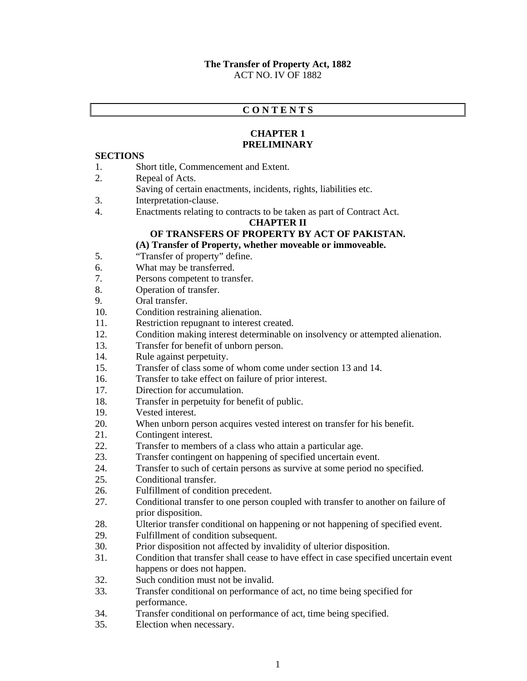## **The Transfer of Property Act, 1882**  ACT NO. IV OF 1882

## **C O N T E N T S**

## **CHAPTER 1 PRELIMINARY**

## **SECTIONS**

- 1. Short title, Commencement and Extent.
- 2. Repeal of Acts.
	- Saving of certain enactments, incidents, rights, liabilities etc.
- 3. Interpretation-clause.
- 4. Enactments relating to contracts to be taken as part of Contract Act.

## **CHAPTER II**

## **OF TRANSFERS OF PROPERTY BY ACT OF PAKISTAN. (A) Transfer of Property, whether moveable or immoveable.**

- 5. "Transfer of property" define.
- 6. What may be transferred.
- 7. Persons competent to transfer.
- 8. Operation of transfer.
- 9. Oral transfer.
- 10. Condition restraining alienation.
- 11. Restriction repugnant to interest created.
- 12. Condition making interest determinable on insolvency or attempted alienation.
- 13. Transfer for benefit of unborn person.
- 14. Rule against perpetuity.
- 15. Transfer of class some of whom come under section 13 and 14.
- 16. Transfer to take effect on failure of prior interest.
- 17. Direction for accumulation.
- 18. Transfer in perpetuity for benefit of public.
- 19. Vested interest.
- 20. When unborn person acquires vested interest on transfer for his benefit.
- 21. Contingent interest.
- 22. Transfer to members of a class who attain a particular age.
- 23. Transfer contingent on happening of specified uncertain event.
- 24. Transfer to such of certain persons as survive at some period no specified.
- 25. Conditional transfer.
- 26. Fulfillment of condition precedent.
- 27. Conditional transfer to one person coupled with transfer to another on failure of prior disposition.
- 28. Ulterior transfer conditional on happening or not happening of specified event.
- 29. Fulfillment of condition subsequent.
- 30. Prior disposition not affected by invalidity of ulterior disposition.
- 31. Condition that transfer shall cease to have effect in case specified uncertain event happens or does not happen.
- 32. Such condition must not be invalid.
- 33. Transfer conditional on performance of act, no time being specified for performance.
- 34. Transfer conditional on performance of act, time being specified.
- 35. Election when necessary.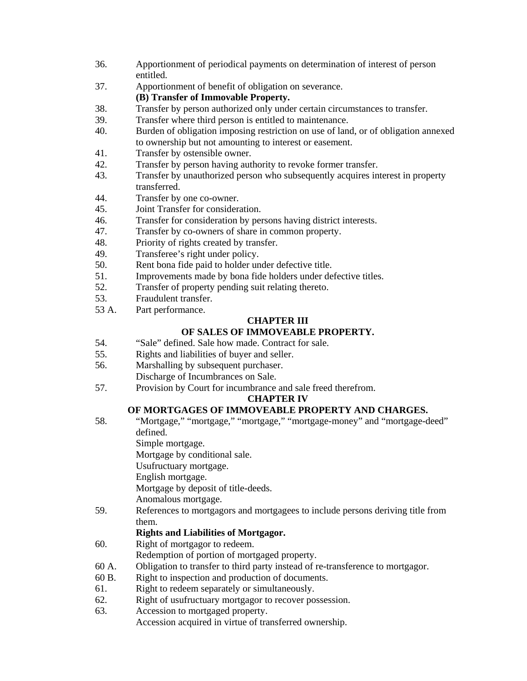- 36. Apportionment of periodical payments on determination of interest of person entitled.
- 37. Apportionment of benefit of obligation on severance.

## **(B) Transfer of Immovable Property.**

- 38. Transfer by person authorized only under certain circumstances to transfer.
- 39. Transfer where third person is entitled to maintenance.
- 40. Burden of obligation imposing restriction on use of land, or of obligation annexed to ownership but not amounting to interest or easement.
- 41. Transfer by ostensible owner.
- 42. Transfer by person having authority to revoke former transfer.
- 43. Transfer by unauthorized person who subsequently acquires interest in property transferred.
- 44. Transfer by one co-owner.
- 45. Joint Transfer for consideration.
- 46. Transfer for consideration by persons having district interests.
- 47. Transfer by co-owners of share in common property.
- 48. Priority of rights created by transfer.
- 49. Transferee's right under policy.
- 50. Rent bona fide paid to holder under defective title.
- 51. Improvements made by bona fide holders under defective titles.
- 52. Transfer of property pending suit relating thereto.
- 53. Fraudulent transfer.
- 53 A. Part performance.

## **CHAPTER III**

## **OF SALES OF IMMOVEABLE PROPERTY.**

- 54. "Sale" defined. Sale how made. Contract for sale.
- 55. Rights and liabilities of buyer and seller.
- 56. Marshalling by subsequent purchaser.
- Discharge of Incumbrances on Sale.
- 57. Provision by Court for incumbrance and sale freed therefrom.

## **CHAPTER IV**

## **OF MORTGAGES OF IMMOVEABLE PROPERTY AND CHARGES.**

58. "Mortgage," "mortgage," "mortgage," "mortgage-money" and "mortgage-deed" defined.

Simple mortgage.

Mortgage by conditional sale.

Usufructuary mortgage.

English mortgage.

Mortgage by deposit of title-deeds.

Anomalous mortgage.

59. References to mortgagors and mortgagees to include persons deriving title from them.

## **Rights and Liabilities of Mortgagor.**

60. Right of mortgagor to redeem.

Redemption of portion of mortgaged property.

- 60 A. Obligation to transfer to third party instead of re-transference to mortgagor.
- 60 B. Right to inspection and production of documents.
- 61. Right to redeem separately or simultaneously.
- 62. Right of usufructuary mortgagor to recover possession.
- 63. Accession to mortgaged property.
	- Accession acquired in virtue of transferred ownership.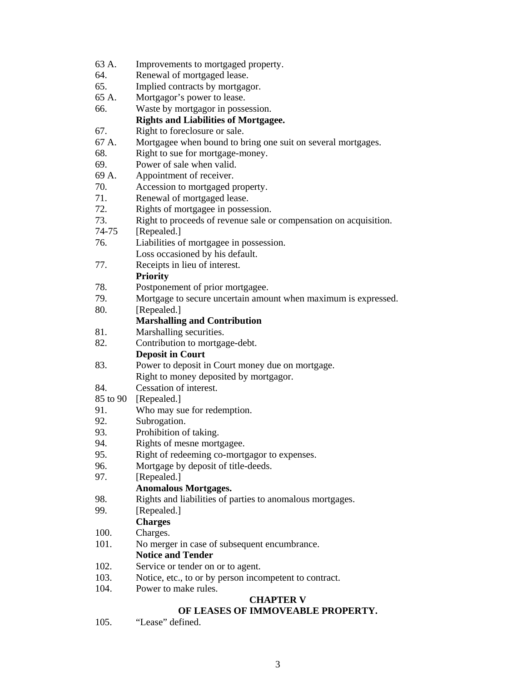| 63 A.    | Improvements to mortgaged property.                               |  |  |  |  |
|----------|-------------------------------------------------------------------|--|--|--|--|
| 64.      | Renewal of mortgaged lease.                                       |  |  |  |  |
| 65.      | Implied contracts by mortgagor.                                   |  |  |  |  |
| 65 A.    | Mortgagor's power to lease.                                       |  |  |  |  |
| 66.      | Waste by mortgagor in possession.                                 |  |  |  |  |
|          | <b>Rights and Liabilities of Mortgagee.</b>                       |  |  |  |  |
| 67.      | Right to foreclosure or sale.                                     |  |  |  |  |
| 67 A.    | Mortgagee when bound to bring one suit on several mortgages.      |  |  |  |  |
| 68.      | Right to sue for mortgage-money.                                  |  |  |  |  |
| 69.      | Power of sale when valid.                                         |  |  |  |  |
| 69 A.    | Appointment of receiver.                                          |  |  |  |  |
| 70.      | Accession to mortgaged property.                                  |  |  |  |  |
| 71.      | Renewal of mortgaged lease.                                       |  |  |  |  |
| 72.      | Rights of mortgagee in possession.                                |  |  |  |  |
| 73.      | Right to proceeds of revenue sale or compensation on acquisition. |  |  |  |  |
| 74-75    | [Repealed.]                                                       |  |  |  |  |
| 76.      | Liabilities of mortgagee in possession.                           |  |  |  |  |
|          | Loss occasioned by his default.                                   |  |  |  |  |
| 77.      | Receipts in lieu of interest.                                     |  |  |  |  |
|          | <b>Priority</b>                                                   |  |  |  |  |
| 78.      | Postponement of prior mortgagee.                                  |  |  |  |  |
| 79.      | Mortgage to secure uncertain amount when maximum is expressed.    |  |  |  |  |
| 80.      | [Repealed.]                                                       |  |  |  |  |
|          | <b>Marshalling and Contribution</b>                               |  |  |  |  |
| 81.      | Marshalling securities.                                           |  |  |  |  |
| 82.      | Contribution to mortgage-debt.                                    |  |  |  |  |
|          | <b>Deposit in Court</b>                                           |  |  |  |  |
| 83.      | Power to deposit in Court money due on mortgage.                  |  |  |  |  |
|          | Right to money deposited by mortgagor.                            |  |  |  |  |
| 84.      | Cessation of interest.                                            |  |  |  |  |
| 85 to 90 | [Repealed.]                                                       |  |  |  |  |
| 91.      | Who may sue for redemption.                                       |  |  |  |  |
| 92.      | Subrogation.                                                      |  |  |  |  |
| 93.      | Prohibition of taking.                                            |  |  |  |  |
| 94       | Rights of mesne mortgagee                                         |  |  |  |  |
| 95.      | Right of redeeming co-mortgagor to expenses.                      |  |  |  |  |
| 96.      | Mortgage by deposit of title-deeds.                               |  |  |  |  |
| 97.      | [Repealed.]                                                       |  |  |  |  |
|          | <b>Anomalous Mortgages.</b>                                       |  |  |  |  |
| 98.      | Rights and liabilities of parties to anomalous mortgages.         |  |  |  |  |
| 99.      | [Repealed.]                                                       |  |  |  |  |
|          | <b>Charges</b>                                                    |  |  |  |  |
| 100.     | Charges.                                                          |  |  |  |  |
| 101.     | No merger in case of subsequent encumbrance.                      |  |  |  |  |
|          | <b>Notice and Tender</b>                                          |  |  |  |  |
| 102.     | Service or tender on or to agent.                                 |  |  |  |  |
| 103.     | Notice, etc., to or by person incompetent to contract.            |  |  |  |  |
| 104.     | Power to make rules.                                              |  |  |  |  |
|          | <b>CHAPTER V</b>                                                  |  |  |  |  |
|          | OF LEASES OF IMMOVEABLE PROPERTY.                                 |  |  |  |  |
|          |                                                                   |  |  |  |  |

105. "Lease" defined.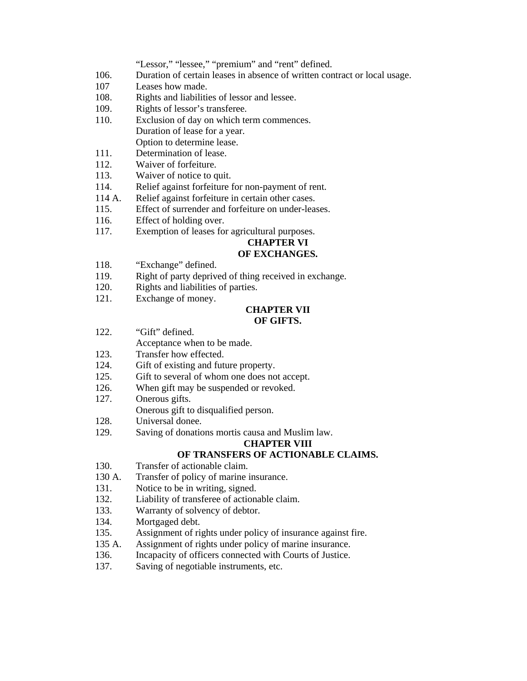"Lessor," "lessee," "premium" and "rent" defined.

- 106. Duration of certain leases in absence of written contract or local usage.
- 107 Leases how made.
- 108. Rights and liabilities of lessor and lessee.
- 109. Rights of lessor's transferee.
- 110. Exclusion of day on which term commences. Duration of lease for a year. Option to determine lease.
- 111. Determination of lease.
- 112. Waiver of forfeiture.
- 113. Waiver of notice to quit.
- 114. Relief against forfeiture for non-payment of rent.
- 114 A. Relief against forfeiture in certain other cases.
- 115. Effect of surrender and forfeiture on under-leases.
- 116. Effect of holding over.
- 117. Exemption of leases for agricultural purposes.

# **CHAPTER VI**

## **OF EXCHANGES.**

- 118. "Exchange" defined.
- 119. Right of party deprived of thing received in exchange.
- 120. Rights and liabilities of parties.
- 121. Exchange of money.

## **CHAPTER VII OF GIFTS.**

122. "Gift" defined.

Acceptance when to be made.

- 123. Transfer how effected.
- 124. Gift of existing and future property.
- 125. Gift to several of whom one does not accept.
- 126. When gift may be suspended or revoked.
- 127. Onerous gifts.
	- Onerous gift to disqualified person.
- 128. Universal donee.
- 129. Saving of donations mortis causa and Muslim law.

## **CHAPTER VIII**

## **OF TRANSFERS OF ACTIONABLE CLAIMS.**

- 130. Transfer of actionable claim.
- 130 A. Transfer of policy of marine insurance.
- 131. Notice to be in writing, signed.
- 132. Liability of transferee of actionable claim.
- 133. Warranty of solvency of debtor.
- 134. Mortgaged debt.
- 135. Assignment of rights under policy of insurance against fire.
- 135 A. Assignment of rights under policy of marine insurance.
- 136. Incapacity of officers connected with Courts of Justice.
- 137. Saving of negotiable instruments, etc.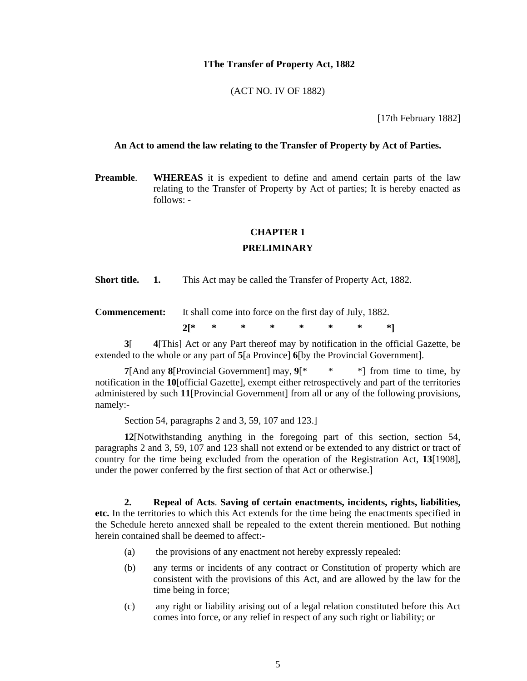## **1The Transfer of Property Act, 1882**

(ACT NO. IV OF 1882)

[17th February 1882]

## **An Act to amend the law relating to the Transfer of Property by Act of Parties.**

**Preamble**. **WHEREAS** it is expedient to define and amend certain parts of the law relating to the Transfer of Property by Act of parties; It is hereby enacted as follows: -

## **CHAPTER 1**

## **PRELIMINARY**

**Short title.** 1. This Act may be called the Transfer of Property Act, 1882.

| <b>Commencement:</b> | It shall come into force on the first day of July, 1882. |
|----------------------|----------------------------------------------------------|
|                      |                                                          |

 **2[\* \* \* \* \* \* \* \*]** 

**3**[ **4**[This] Act or any Part thereof may by notification in the official Gazette, be extended to the whole or any part of **5**[a Province] **6**[by the Provincial Government].

**7**[And any **8**[Provincial Government] may, **9**[\* \* \*] from time to time, by notification in the **10**[official Gazette], exempt either retrospectively and part of the territories administered by such **11**[Provincial Government] from all or any of the following provisions, namely:-

Section 54, paragraphs 2 and 3, 59, 107 and 123.]

**12**[Notwithstanding anything in the foregoing part of this section, section 54, paragraphs 2 and 3, 59, 107 and 123 shall not extend or be extended to any district or tract of country for the time being excluded from the operation of the Registration Act, **13**[1908], under the power conferred by the first section of that Act or otherwise.]

**2. Repeal of Acts**. **Saving of certain enactments, incidents, rights, liabilities, etc.** In the territories to which this Act extends for the time being the enactments specified in the Schedule hereto annexed shall be repealed to the extent therein mentioned. But nothing herein contained shall be deemed to affect:-

- (a) the provisions of any enactment not hereby expressly repealed:
- (b) any terms or incidents of any contract or Constitution of property which are consistent with the provisions of this Act, and are allowed by the law for the time being in force;
- (c) any right or liability arising out of a legal relation constituted before this Act comes into force, or any relief in respect of any such right or liability; or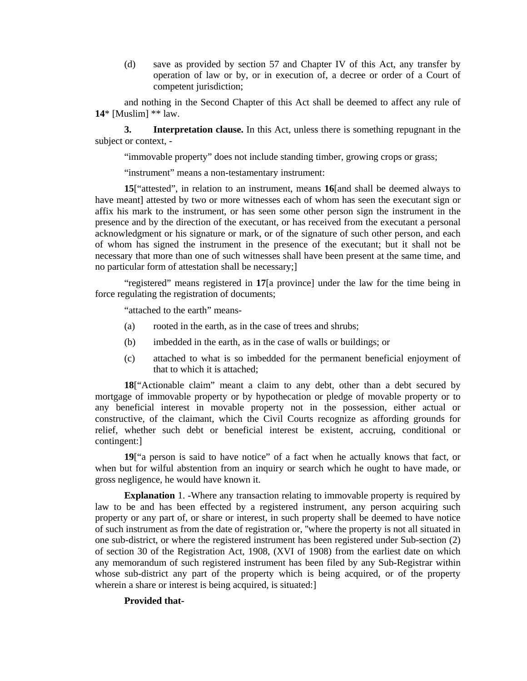(d) save as provided by section 57 and Chapter IV of this Act, any transfer by operation of law or by, or in execution of, a decree or order of a Court of competent jurisdiction;

and nothing in the Second Chapter of this Act shall be deemed to affect any rule of **14**\* [Muslim] \*\* law.

**3. Interpretation clause.** In this Act, unless there is something repugnant in the subject or context, -

"immovable property" does not include standing timber, growing crops or grass;

"instrument" means a non-testamentary instrument:

**15**["attested", in relation to an instrument, means **16**[and shall be deemed always to have meant] attested by two or more witnesses each of whom has seen the executant sign or affix his mark to the instrument, or has seen some other person sign the instrument in the presence and by the direction of the executant, or has received from the executant a personal acknowledgment or his signature or mark, or of the signature of such other person, and each of whom has signed the instrument in the presence of the executant; but it shall not be necessary that more than one of such witnesses shall have been present at the same time, and no particular form of attestation shall be necessary;]

"registered" means registered in **17**[a province] under the law for the time being in force regulating the registration of documents;

"attached to the earth" means-

- (a) rooted in the earth, as in the case of trees and shrubs;
- (b) imbedded in the earth, as in the case of walls or buildings; or
- (c) attached to what is so imbedded for the permanent beneficial enjoyment of that to which it is attached;

**18**["Actionable claim" meant a claim to any debt, other than a debt secured by mortgage of immovable property or by hypothecation or pledge of movable property or to any beneficial interest in movable property not in the possession, either actual or constructive, of the claimant, which the Civil Courts recognize as affording grounds for relief, whether such debt or beneficial interest be existent, accruing, conditional or contingent:]

**19**["a person is said to have notice" of a fact when he actually knows that fact, or when but for wilful abstention from an inquiry or search which he ought to have made, or gross negligence, he would have known it.

**Explanation** 1. -Where any transaction relating to immovable property is required by law to be and has been effected by a registered instrument, any person acquiring such property or any part of, or share or interest, in such property shall be deemed to have notice of such instrument as from the date of registration or, ''where the property is not all situated in one sub-district, or where the registered instrument has been registered under Sub-section (2) of section 30 of the Registration Act, 1908, (XVI of 1908) from the earliest date on which any memorandum of such registered instrument has been filed by any Sub-Registrar within whose sub-district any part of the property which is being acquired, or of the property wherein a share or interest is being acquired, is situated:

## **Provided that-**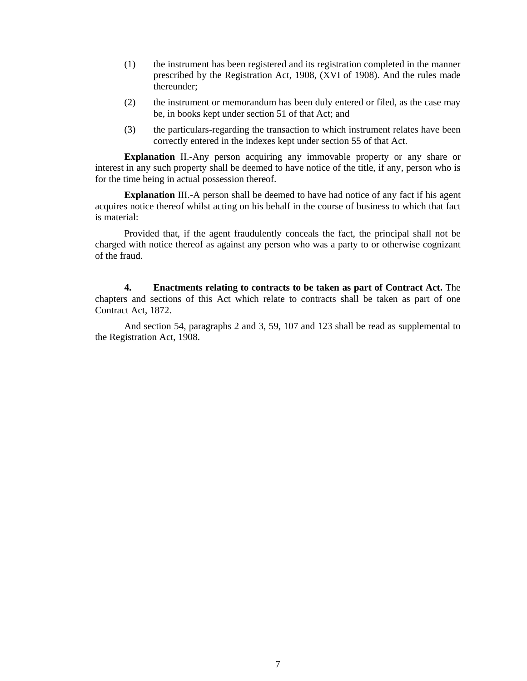- (1) the instrument has been registered and its registration completed in the manner prescribed by the Registration Act, 1908, (XVI of 1908). And the rules made thereunder;
- (2) the instrument or memorandum has been duly entered or filed, as the case may be, in books kept under section 51 of that Act; and
- (3) the particulars-regarding the transaction to which instrument relates have been correctly entered in the indexes kept under section 55 of that Act.

**Explanation** II.-Any person acquiring any immovable property or any share or interest in any such property shall be deemed to have notice of the title, if any, person who is for the time being in actual possession thereof.

**Explanation** III.-A person shall be deemed to have had notice of any fact if his agent acquires notice thereof whilst acting on his behalf in the course of business to which that fact is material:

Provided that, if the agent fraudulently conceals the fact, the principal shall not be charged with notice thereof as against any person who was a party to or otherwise cognizant of the fraud.

**4. Enactments relating to contracts to be taken as part of Contract Act.** The chapters and sections of this Act which relate to contracts shall be taken as part of one Contract Act, 1872.

And section 54, paragraphs 2 and 3, 59, 107 and 123 shall be read as supplemental to the Registration Act, 1908.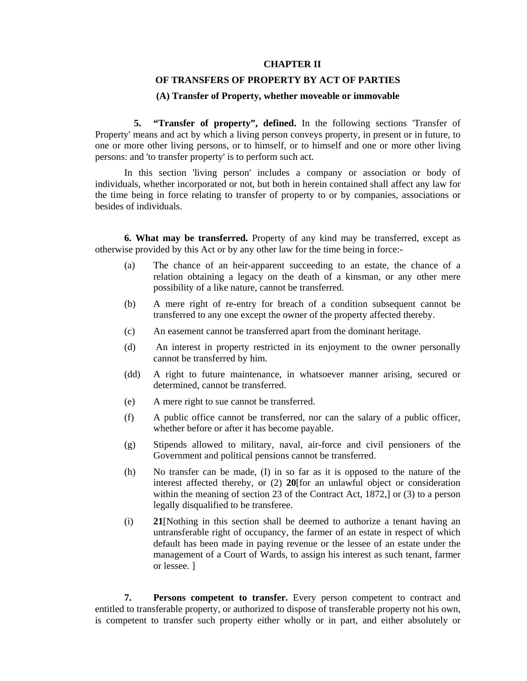#### **CHAPTER II**

## **OF TRANSFERS OF PROPERTY BY ACT OF PARTIES**

## **(A) Transfer of Property, whether moveable or immovable**

 **5. "Transfer of property", defined.** In the following sections 'Transfer of Property' means and act by which a living person conveys property, in present or in future, to one or more other living persons, or to himself, or to himself and one or more other living persons: and 'to transfer property' is to perform such act.

In this section 'living person' includes a company or association or body of individuals, whether incorporated or not, but both in herein contained shall affect any law for the time being in force relating to transfer of property to or by companies, associations or besides of individuals.

**6. What may be transferred.** Property of any kind may be transferred, except as otherwise provided by this Act or by any other law for the time being in force:-

- (a) The chance of an heir-apparent succeeding to an estate, the chance of a relation obtaining a legacy on the death of a kinsman, or any other mere possibility of a like nature, cannot be transferred.
- (b) A mere right of re-entry for breach of a condition subsequent cannot be transferred to any one except the owner of the property affected thereby.
- (c) An easement cannot be transferred apart from the dominant heritage.
- (d) An interest in property restricted in its enjoyment to the owner personally cannot be transferred by him.
- (dd) A right to future maintenance, in whatsoever manner arising, secured or determined, cannot be transferred.
- (e) A mere right to sue cannot be transferred.
- (f) A public office cannot be transferred, nor can the salary of a public officer, whether before or after it has become payable.
- (g) Stipends allowed to military, naval, air-force and civil pensioners of the Government and political pensions cannot be transferred.
- (h) No transfer can be made, (I) in so far as it is opposed to the nature of the interest affected thereby, or (2) **20**[for an unlawful object or consideration within the meaning of section 23 of the Contract Act, 1872,] or (3) to a person legally disqualified to be transferee.
- (i) **21**[Nothing in this section shall be deemed to authorize a tenant having an untransferable right of occupancy, the farmer of an estate in respect of which default has been made in paying revenue or the lessee of an estate under the management of a Court of Wards, to assign his interest as such tenant, farmer or lessee. ]

**7. Persons competent to transfer.** Every person competent to contract and entitled to transferable property, or authorized to dispose of transferable property not his own, is competent to transfer such property either wholly or in part, and either absolutely or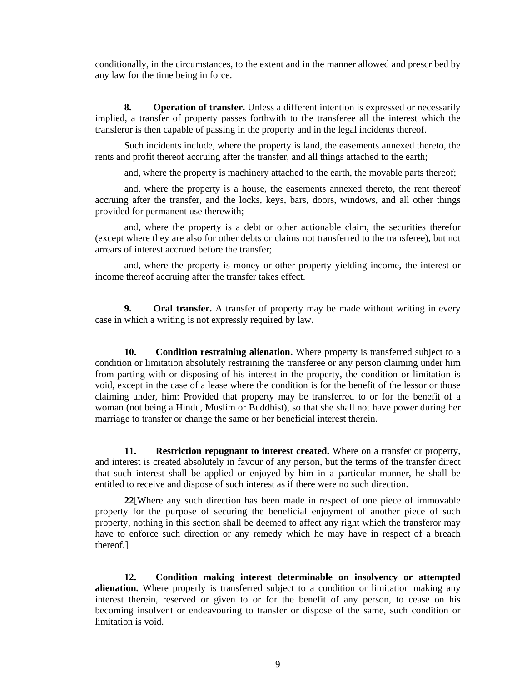conditionally, in the circumstances, to the extent and in the manner allowed and prescribed by any law for the time being in force.

**8.** Operation of transfer. Unless a different intention is expressed or necessarily implied, a transfer of property passes forthwith to the transferee all the interest which the transferor is then capable of passing in the property and in the legal incidents thereof.

Such incidents include, where the property is land, the easements annexed thereto, the rents and profit thereof accruing after the transfer, and all things attached to the earth;

and, where the property is machinery attached to the earth, the movable parts thereof;

and, where the property is a house, the easements annexed thereto, the rent thereof accruing after the transfer, and the locks, keys, bars, doors, windows, and all other things provided for permanent use therewith;

and, where the property is a debt or other actionable claim, the securities therefor (except where they are also for other debts or claims not transferred to the transferee), but not arrears of interest accrued before the transfer;

and, where the property is money or other property yielding income, the interest or income thereof accruing after the transfer takes effect.

**9.** Oral transfer. A transfer of property may be made without writing in every case in which a writing is not expressly required by law.

**10. Condition restraining alienation.** Where property is transferred subject to a condition or limitation absolutely restraining the transferee or any person claiming under him from parting with or disposing of his interest in the property, the condition or limitation is void, except in the case of a lease where the condition is for the benefit of the lessor or those claiming under, him: Provided that property may be transferred to or for the benefit of a woman (not being a Hindu, Muslim or Buddhist), so that she shall not have power during her marriage to transfer or change the same or her beneficial interest therein.

**11. Restriction repugnant to interest created.** Where on a transfer or property, and interest is created absolutely in favour of any person, but the terms of the transfer direct that such interest shall be applied or enjoyed by him in a particular manner, he shall be entitled to receive and dispose of such interest as if there were no such direction.

**22**[Where any such direction has been made in respect of one piece of immovable property for the purpose of securing the beneficial enjoyment of another piece of such property, nothing in this section shall be deemed to affect any right which the transferor may have to enforce such direction or any remedy which he may have in respect of a breach thereof.]

**12. Condition making interest determinable on insolvency or attempted alienation.** Where properly is transferred subject to a condition or limitation making any interest therein, reserved or given to or for the benefit of any person, to cease on his becoming insolvent or endeavouring to transfer or dispose of the same, such condition or limitation is void.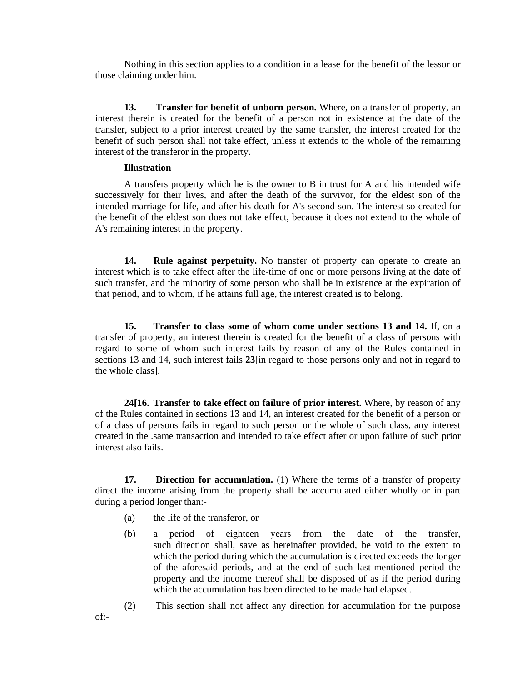Nothing in this section applies to a condition in a lease for the benefit of the lessor or those claiming under him.

**13. Transfer for benefit of unborn person.** Where, on a transfer of property, an interest therein is created for the benefit of a person not in existence at the date of the transfer, subject to a prior interest created by the same transfer, the interest created for the benefit of such person shall not take effect, unless it extends to the whole of the remaining interest of the transferor in the property.

### **Illustration**

A transfers property which he is the owner to B in trust for A and his intended wife successively for their lives, and after the death of the survivor, for the eldest son of the intended marriage for life, and after his death for A's second son. The interest so created for the benefit of the eldest son does not take effect, because it does not extend to the whole of A's remaining interest in the property.

**14. Rule against perpetuity.** No transfer of property can operate to create an interest which is to take effect after the life-time of one or more persons living at the date of such transfer, and the minority of some person who shall be in existence at the expiration of that period, and to whom, if he attains full age, the interest created is to belong.

**15. Transfer to class some of whom come under sections 13 and 14.** If, on a transfer of property, an interest therein is created for the benefit of a class of persons with regard to some of whom such interest fails by reason of any of the Rules contained in sections 13 and 14, such interest fails **23**[in regard to those persons only and not in regard to the whole class].

**24[16. Transfer to take effect on failure of prior interest.** Where, by reason of any of the Rules contained in sections 13 and 14, an interest created for the benefit of a person or of a class of persons fails in regard to such person or the whole of such class, any interest created in the .same transaction and intended to take effect after or upon failure of such prior interest also fails.

**17. Direction for accumulation.** (1) Where the terms of a transfer of property direct the income arising from the property shall be accumulated either wholly or in part during a period longer than:-

- (a) the life of the transferor, or
- (b) a period of eighteen years from the date of the transfer, such direction shall, save as hereinafter provided, be void to the extent to which the period during which the accumulation is directed exceeds the longer of the aforesaid periods, and at the end of such last-mentioned period the property and the income thereof shall be disposed of as if the period during which the accumulation has been directed to be made had elapsed.
- (2) This section shall not affect any direction for accumulation for the purpose

 $of -$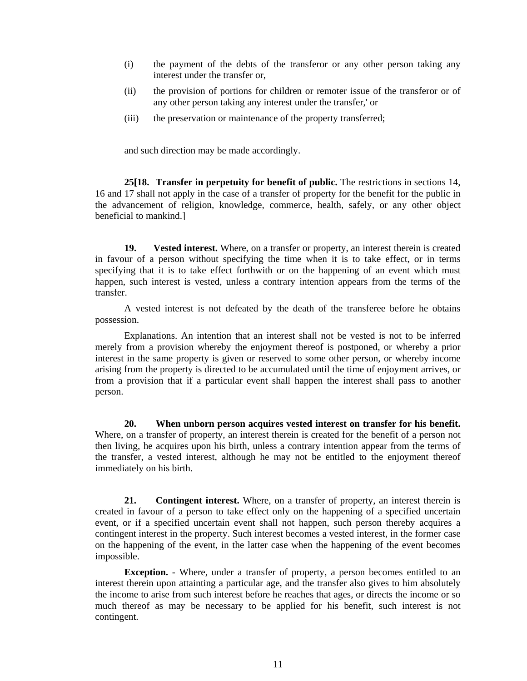- (i) the payment of the debts of the transferor or any other person taking any interest under the transfer or,
- (ii) the provision of portions for children or remoter issue of the transferor or of any other person taking any interest under the transfer,' or
- (iii) the preservation or maintenance of the property transferred;

and such direction may be made accordingly.

**25[18. Transfer in perpetuity for benefit of public.** The restrictions in sections 14, 16 and 17 shall not apply in the case of a transfer of property for the benefit for the public in the advancement of religion, knowledge, commerce, health, safely, or any other object beneficial to mankind.]

**19.** Vested interest. Where, on a transfer or property, an interest therein is created in favour of a person without specifying the time when it is to take effect, or in terms specifying that it is to take effect forthwith or on the happening of an event which must happen, such interest is vested, unless a contrary intention appears from the terms of the transfer.

A vested interest is not defeated by the death of the transferee before he obtains possession.

Explanations. An intention that an interest shall not be vested is not to be inferred merely from a provision whereby the enjoyment thereof is postponed, or whereby a prior interest in the same property is given or reserved to some other person, or whereby income arising from the property is directed to be accumulated until the time of enjoyment arrives, or from a provision that if a particular event shall happen the interest shall pass to another person.

**20. When unborn person acquires vested interest on transfer for his benefit.** Where, on a transfer of property, an interest therein is created for the benefit of a person not then living, he acquires upon his birth, unless a contrary intention appear from the terms of the transfer, a vested interest, although he may not be entitled to the enjoyment thereof immediately on his birth.

**21. Contingent interest.** Where, on a transfer of property, an interest therein is created in favour of a person to take effect only on the happening of a specified uncertain event, or if a specified uncertain event shall not happen, such person thereby acquires a contingent interest in the property. Such interest becomes a vested interest, in the former case on the happening of the event, in the latter case when the happening of the event becomes impossible.

**Exception.** - Where, under a transfer of property, a person becomes entitled to an interest therein upon attainting a particular age, and the transfer also gives to him absolutely the income to arise from such interest before he reaches that ages, or directs the income or so much thereof as may be necessary to be applied for his benefit, such interest is not contingent.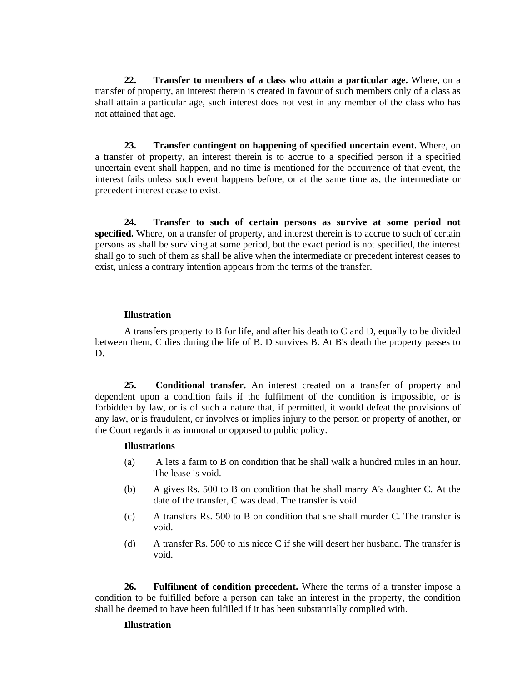**22. Transfer to members of a class who attain a particular age.** Where, on a transfer of property, an interest therein is created in favour of such members only of a class as shall attain a particular age, such interest does not vest in any member of the class who has not attained that age.

**23. Transfer contingent on happening of specified uncertain event.** Where, on a transfer of property, an interest therein is to accrue to a specified person if a specified uncertain event shall happen, and no time is mentioned for the occurrence of that event, the interest fails unless such event happens before, or at the same time as, the intermediate or precedent interest cease to exist.

**24. Transfer to such of certain persons as survive at some period not specified.** Where, on a transfer of property, and interest therein is to accrue to such of certain persons as shall be surviving at some period, but the exact period is not specified, the interest shall go to such of them as shall be alive when the intermediate or precedent interest ceases to exist, unless a contrary intention appears from the terms of the transfer.

### **Illustration**

A transfers property to B for life, and after his death to C and D, equally to be divided between them, C dies during the life of B. D survives B. At B's death the property passes to D.

**25. Conditional transfer.** An interest created on a transfer of property and dependent upon a condition fails if the fulfilment of the condition is impossible, or is forbidden by law, or is of such a nature that, if permitted, it would defeat the provisions of any law, or is fraudulent, or involves or implies injury to the person or property of another, or the Court regards it as immoral or opposed to public policy.

### **Illustrations**

- (a) A lets a farm to B on condition that he shall walk a hundred miles in an hour. The lease is void.
- (b) A gives Rs. 500 to B on condition that he shall marry A's daughter C. At the date of the transfer, C was dead. The transfer is void.
- (c) A transfers Rs. 500 to B on condition that she shall murder C. The transfer is void.
- (d) A transfer Rs. 500 to his niece C if she will desert her husband. The transfer is void.

**26. Fulfilment of condition precedent.** Where the terms of a transfer impose a condition to be fulfilled before a person can take an interest in the property, the condition shall be deemed to have been fulfilled if it has been substantially complied with.

#### **Illustration**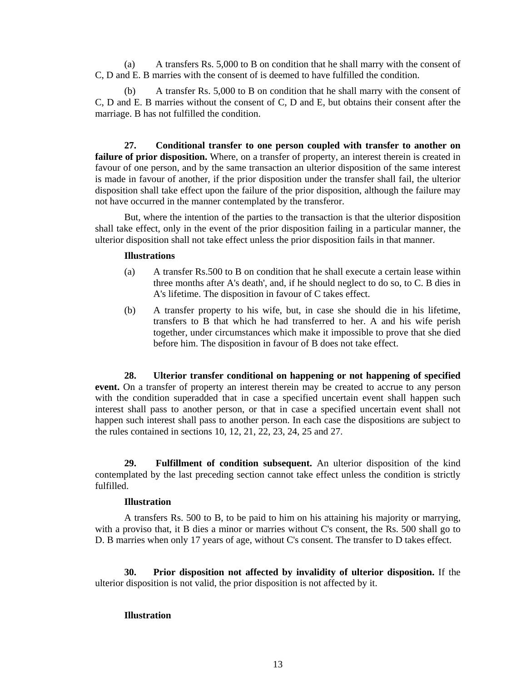(a) A transfers Rs. 5,000 to B on condition that he shall marry with the consent of C, D and E. B marries with the consent of is deemed to have fulfilled the condition.

(b) A transfer Rs. 5,000 to B on condition that he shall marry with the consent of C, D and E. B marries without the consent of C, D and E, but obtains their consent after the marriage. B has not fulfilled the condition.

**27. Conditional transfer to one person coupled with transfer to another on failure of prior disposition.** Where, on a transfer of property, an interest therein is created in favour of one person, and by the same transaction an ulterior disposition of the same interest is made in favour of another, if the prior disposition under the transfer shall fail, the ulterior disposition shall take effect upon the failure of the prior disposition, although the failure may not have occurred in the manner contemplated by the transferor.

But, where the intention of the parties to the transaction is that the ulterior disposition shall take effect, only in the event of the prior disposition failing in a particular manner, the ulterior disposition shall not take effect unless the prior disposition fails in that manner.

#### **Illustrations**

- (a) A transfer Rs.500 to B on condition that he shall execute a certain lease within three months after A's death', and, if he should neglect to do so, to C. B dies in A's lifetime. The disposition in favour of C takes effect.
- (b) A transfer property to his wife, but, in case she should die in his lifetime, transfers to B that which he had transferred to her. A and his wife perish together, under circumstances which make it impossible to prove that she died before him. The disposition in favour of B does not take effect.

**28. Ulterior transfer conditional on happening or not happening of specified event.** On a transfer of property an interest therein may be created to accrue to any person with the condition superadded that in case a specified uncertain event shall happen such interest shall pass to another person, or that in case a specified uncertain event shall not happen such interest shall pass to another person. In each case the dispositions are subject to the rules contained in sections 10, 12, 21, 22, 23, 24, 25 and 27.

**29. Fulfillment of condition subsequent.** An ulterior disposition of the kind contemplated by the last preceding section cannot take effect unless the condition is strictly fulfilled.

#### **Illustration**

A transfers Rs. 500 to B, to be paid to him on his attaining his majority or marrying, with a proviso that, it B dies a minor or marries without C's consent, the Rs. 500 shall go to D. B marries when only 17 years of age, without C's consent. The transfer to D takes effect.

**30. Prior disposition not affected by invalidity of ulterior disposition.** If the ulterior disposition is not valid, the prior disposition is not affected by it.

#### **Illustration**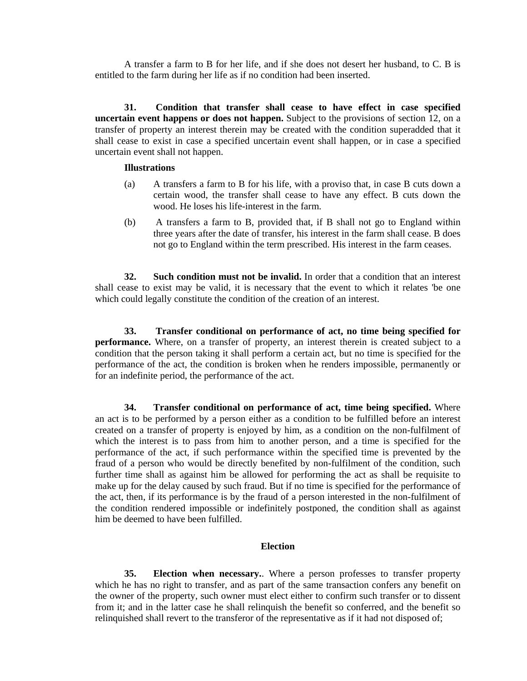A transfer a farm to B for her life, and if she does not desert her husband, to C. B is entitled to the farm during her life as if no condition had been inserted.

**31. Condition that transfer shall cease to have effect in case specified uncertain event happens or does not happen.** Subject to the provisions of section 12, on a transfer of property an interest therein may be created with the condition superadded that it shall cease to exist in case a specified uncertain event shall happen, or in case a specified uncertain event shall not happen.

## **Illustrations**

- (a) A transfers a farm to B for his life, with a proviso that, in case B cuts down a certain wood, the transfer shall cease to have any effect. B cuts down the wood. He loses his life-interest in the farm.
- (b) A transfers a farm to B, provided that, if B shall not go to England within three years after the date of transfer, his interest in the farm shall cease. B does not go to England within the term prescribed. His interest in the farm ceases.

**32. Such condition must not be invalid.** In order that a condition that an interest shall cease to exist may be valid, it is necessary that the event to which it relates 'be one which could legally constitute the condition of the creation of an interest.

**33. Transfer conditional on performance of act, no time being specified for performance.** Where, on a transfer of property, an interest therein is created subject to a condition that the person taking it shall perform a certain act, but no time is specified for the performance of the act, the condition is broken when he renders impossible, permanently or for an indefinite period, the performance of the act.

**34. Transfer conditional on performance of act, time being specified.** Where an act is to be performed by a person either as a condition to be fulfilled before an interest created on a transfer of property is enjoyed by him, as a condition on the non-fulfilment of which the interest is to pass from him to another person, and a time is specified for the performance of the act, if such performance within the specified time is prevented by the fraud of a person who would be directly benefited by non-fulfilment of the condition, such further time shall as against him be allowed for performing the act as shall be requisite to make up for the delay caused by such fraud. But if no time is specified for the performance of the act, then, if its performance is by the fraud of a person interested in the non-fulfilment of the condition rendered impossible or indefinitely postponed, the condition shall as against him be deemed to have been fulfilled.

## **Election**

**35. Election when necessary.**. Where a person professes to transfer property which he has no right to transfer, and as part of the same transaction confers any benefit on the owner of the property, such owner must elect either to confirm such transfer or to dissent from it; and in the latter case he shall relinquish the benefit so conferred, and the benefit so relinquished shall revert to the transferor of the representative as if it had not disposed of;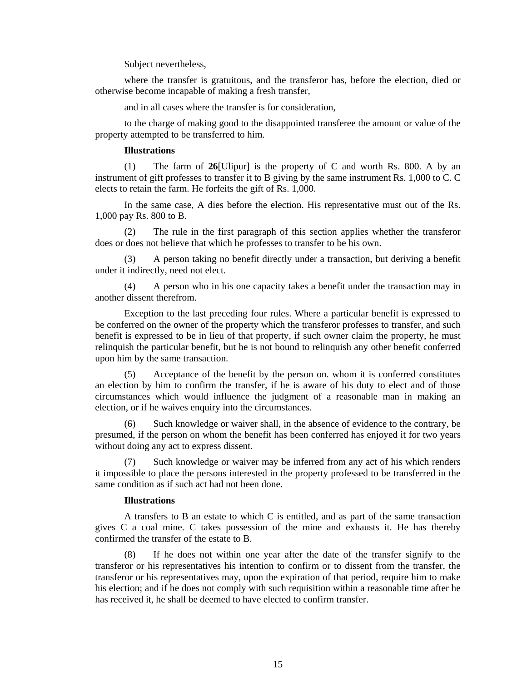Subject nevertheless,

where the transfer is gratuitous, and the transferor has, before the election, died or otherwise become incapable of making a fresh transfer,

and in all cases where the transfer is for consideration,

to the charge of making good to the disappointed transferee the amount or value of the property attempted to be transferred to him.

#### **Illustrations**

(1) The farm of **26**[Ulipur] is the property of C and worth Rs. 800. A by an instrument of gift professes to transfer it to B giving by the same instrument Rs. 1,000 to C. C elects to retain the farm. He forfeits the gift of Rs. 1,000.

In the same case, A dies before the election. His representative must out of the Rs. 1,000 pay Rs. 800 to B.

(2) The rule in the first paragraph of this section applies whether the transferor does or does not believe that which he professes to transfer to be his own.

(3) A person taking no benefit directly under a transaction, but deriving a benefit under it indirectly, need not elect.

(4) A person who in his one capacity takes a benefit under the transaction may in another dissent therefrom.

Exception to the last preceding four rules. Where a particular benefit is expressed to be conferred on the owner of the property which the transferor professes to transfer, and such benefit is expressed to be in lieu of that property, if such owner claim the property, he must relinquish the particular benefit, but he is not bound to relinquish any other benefit conferred upon him by the same transaction.

(5) Acceptance of the benefit by the person on. whom it is conferred constitutes an election by him to confirm the transfer, if he is aware of his duty to elect and of those circumstances which would influence the judgment of a reasonable man in making an election, or if he waives enquiry into the circumstances.

Such knowledge or waiver shall, in the absence of evidence to the contrary, be presumed, if the person on whom the benefit has been conferred has enjoyed it for two years without doing any act to express dissent.

(7) Such knowledge or waiver may be inferred from any act of his which renders it impossible to place the persons interested in the property professed to be transferred in the same condition as if such act had not been done.

#### **Illustrations**

A transfers to B an estate to which C is entitled, and as part of the same transaction gives C a coal mine. C takes possession of the mine and exhausts it. He has thereby confirmed the transfer of the estate to B.

(8) If he does not within one year after the date of the transfer signify to the transferor or his representatives his intention to confirm or to dissent from the transfer, the transferor or his representatives may, upon the expiration of that period, require him to make his election; and if he does not comply with such requisition within a reasonable time after he has received it, he shall be deemed to have elected to confirm transfer.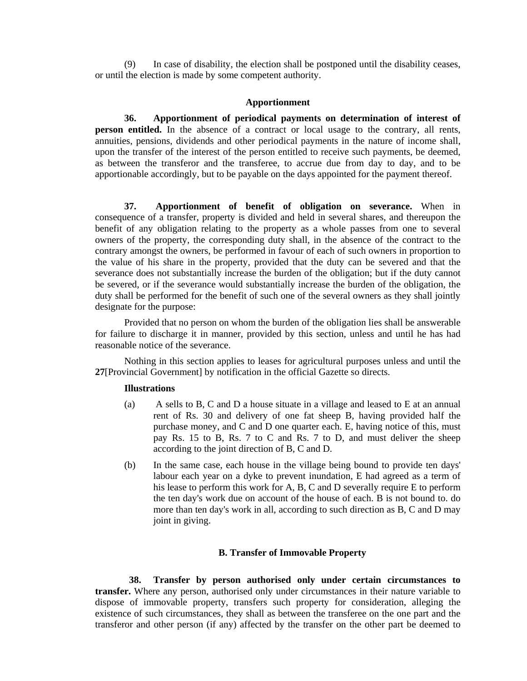(9) In case of disability, the election shall be postponed until the disability ceases, or until the election is made by some competent authority.

#### **Apportionment**

**36. Apportionment of periodical payments on determination of interest of person entitled.** In the absence of a contract or local usage to the contrary, all rents, annuities, pensions, dividends and other periodical payments in the nature of income shall, upon the transfer of the interest of the person entitled to receive such payments, be deemed, as between the transferor and the transferee, to accrue due from day to day, and to be apportionable accordingly, but to be payable on the days appointed for the payment thereof.

**37. Apportionment of benefit of obligation on severance.** When in consequence of a transfer, property is divided and held in several shares, and thereupon the benefit of any obligation relating to the property as a whole passes from one to several owners of the property, the corresponding duty shall, in the absence of the contract to the contrary amongst the owners, be performed in favour of each of such owners in proportion to the value of his share in the property, provided that the duty can be severed and that the severance does not substantially increase the burden of the obligation; but if the duty cannot be severed, or if the severance would substantially increase the burden of the obligation, the duty shall be performed for the benefit of such one of the several owners as they shall jointly designate for the purpose:

Provided that no person on whom the burden of the obligation lies shall be answerable for failure to discharge it in manner, provided by this section, unless and until he has had reasonable notice of the severance.

Nothing in this section applies to leases for agricultural purposes unless and until the **27**[Provincial Government] by notification in the official Gazette so directs.

### **Illustrations**

- (a) A sells to B, C and D a house situate in a village and leased to E at an annual rent of Rs. 30 and delivery of one fat sheep B, having provided half the purchase money, and C and D one quarter each. E, having notice of this, must pay Rs. 15 to B, Rs. 7 to C and Rs. 7 to D, and must deliver the sheep according to the joint direction of B, C and D.
- (b) In the same case, each house in the village being bound to provide ten days' labour each year on a dyke to prevent inundation, E had agreed as a term of his lease to perform this work for A, B, C and D severally require E to perform the ten day's work due on account of the house of each. B is not bound to. do more than ten day's work in all, according to such direction as B, C and D may joint in giving.

## **B. Transfer of Immovable Property**

 **38. Transfer by person authorised only under certain circumstances to transfer.** Where any person, authorised only under circumstances in their nature variable to dispose of immovable property, transfers such property for consideration, alleging the existence of such circumstances, they shall as between the transferee on the one part and the transferor and other person (if any) affected by the transfer on the other part be deemed to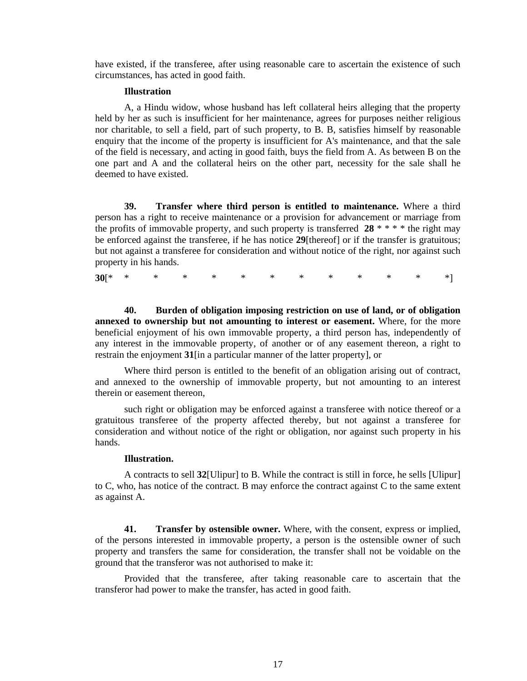have existed, if the transferee, after using reasonable care to ascertain the existence of such circumstances, has acted in good faith.

#### **Illustration**

A, a Hindu widow, whose husband has left collateral heirs alleging that the property held by her as such is insufficient for her maintenance, agrees for purposes neither religious nor charitable, to sell a field, part of such property, to B. B, satisfies himself by reasonable enquiry that the income of the property is insufficient for A's maintenance, and that the sale of the field is necessary, and acting in good faith, buys the field from A. As between B on the one part and A and the collateral heirs on the other part, necessity for the sale shall he deemed to have existed.

**39. Transfer where third person is entitled to maintenance.** Where a third person has a right to receive maintenance or a provision for advancement or marriage from the profits of immovable property, and such property is transferred  $28$ <sup>\*</sup> \* \* \* the right may be enforced against the transferee, if he has notice **29**[thereof] or if the transfer is gratuitous; but not against a transferee for consideration and without notice of the right, nor against such property in his hands.

**30**[\* \* \* \* \* \* \* \* \* \* \* \* \*]

**40. Burden of obligation imposing restriction on use of land, or of obligation annexed to ownership but not amounting to interest or easement.** Where, for the more beneficial enjoyment of his own immovable property, a third person has, independently of any interest in the immovable property, of another or of any easement thereon, a right to restrain the enjoyment **31**[in a particular manner of the latter property], or

Where third person is entitled to the benefit of an obligation arising out of contract, and annexed to the ownership of immovable property, but not amounting to an interest therein or easement thereon,

such right or obligation may be enforced against a transferee with notice thereof or a gratuitous transferee of the property affected thereby, but not against a transferee for consideration and without notice of the right or obligation, nor against such property in his hands.

## **Illustration.**

A contracts to sell **32**[Ulipur] to B. While the contract is still in force, he sells [Ulipur] to C, who, has notice of the contract. B may enforce the contract against C to the same extent as against A.

**41. Transfer by ostensible owner.** Where, with the consent, express or implied, of the persons interested in immovable property, a person is the ostensible owner of such property and transfers the same for consideration, the transfer shall not be voidable on the ground that the transferor was not authorised to make it:

Provided that the transferee, after taking reasonable care to ascertain that the transferor had power to make the transfer, has acted in good faith.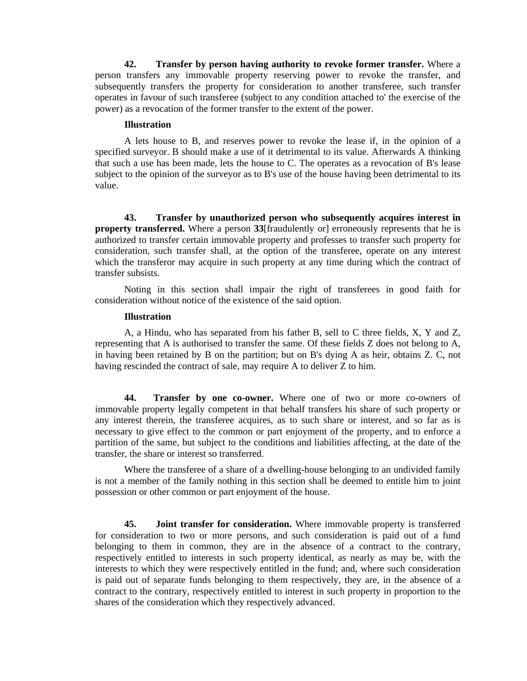**42. Transfer by person having authority to revoke former transfer.** Where a person transfers any immovable property reserving power to revoke the transfer, and subsequently transfers the property for consideration to another transferee, such transfer operates in favour of such transferee (subject to any condition attached to' the exercise of the power) as a revocation of the former transfer to the extent of the power.

#### **Illustration**

A lets house to B, and reserves power to revoke the lease if, in the opinion of a specified surveyor. B should make a use of it detrimental to its value. Afterwards A thinking that such a use has been made, lets the house to C. The operates as a revocation of B's lease subject to the opinion of the surveyor as to B's use of the house having been detrimental to its value.

**43. Transfer by unauthorized person who subsequently acquires interest in property transferred.** Where a person **33**[fraudulently or] erroneously represents that he is authorized to transfer certain immovable property and professes to transfer such property for consideration, such transfer shall, at the option of the transferee, operate on any interest which the transferor may acquire in such property at any time during which the contract of transfer subsists.

Noting in this section shall impair the right of transferees in good faith for consideration without notice of the existence of the said option.

### **Illustration**

A, a Hindu, who has separated from his father B, sell to C three fields, X, Y and Z, representing that A is authorised to transfer the same. Of these fields Z does not belong to A, in having been retained by B on the partition; but on B's dying A as heir, obtains Z. C, not having rescinded the contract of sale, may require A to deliver Z to him.

**44. Transfer by one co-owner.** Where one of two or more co-owners of immovable property legally competent in that behalf transfers his share of such property or any interest therein, the transferee acquires, as to such share or interest, and so far as is necessary to give effect to the common or part enjoyment of the property, and to enforce a partition of the same, but subject to the conditions and liabilities affecting, at the date of the transfer, the share or interest so transferred.

Where the transferee of a share of a dwelling-house belonging to an undivided family is not a member of the family nothing in this section shall be deemed to entitle him to joint possession or other common or part enjoyment of the house.

**45. Joint transfer for consideration.** Where immovable property is transferred for consideration to two or more persons, and such consideration is paid out of a fund belonging to them in common, they are in the absence of a contract to the contrary, respectively entitled to interests in such property identical, as nearly as may be, with the interests to which they were respectively entitled in the fund; and, where such consideration is paid out of separate funds belonging to them respectively, they are, in the absence of a contract to the contrary, respectively entitled to interest in such property in proportion to the shares of the consideration which they respectively advanced.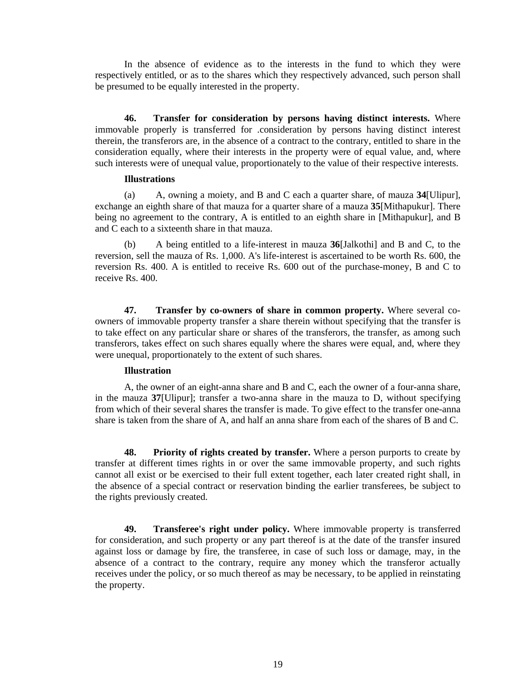In the absence of evidence as to the interests in the fund to which they were respectively entitled, or as to the shares which they respectively advanced, such person shall be presumed to be equally interested in the property.

**46. Transfer for consideration by persons having distinct interests.** Where immovable properly is transferred for .consideration by persons having distinct interest therein, the transferors are, in the absence of a contract to the contrary, entitled to share in the consideration equally, where their interests in the property were of equal value, and, where such interests were of unequal value, proportionately to the value of their respective interests.

#### **Illustrations**

(a) A, owning a moiety, and B and C each a quarter share, of mauza **34**[Ulipur], exchange an eighth share of that mauza for a quarter share of a mauza **35**[Mithapukur]. There being no agreement to the contrary, A is entitled to an eighth share in [Mithapukur], and B and C each to a sixteenth share in that mauza.

(b) A being entitled to a life-interest in mauza **36**[Jalkothi] and B and C, to the reversion, sell the mauza of Rs. 1,000. A's life-interest is ascertained to be worth Rs. 600, the reversion Rs. 400. A is entitled to receive Rs. 600 out of the purchase-money, B and C to receive Rs. 400.

**47. Transfer by co-owners of share in common property.** Where several coowners of immovable property transfer a share therein without specifying that the transfer is to take effect on any particular share or shares of the transferors, the transfer, as among such transferors, takes effect on such shares equally where the shares were equal, and, where they were unequal, proportionately to the extent of such shares.

#### **Illustration**

A, the owner of an eight-anna share and B and C, each the owner of a four-anna share, in the mauza **37**[Ulipur]; transfer a two-anna share in the mauza to D, without specifying from which of their several shares the transfer is made. To give effect to the transfer one-anna share is taken from the share of A, and half an anna share from each of the shares of B and C.

**48. Priority of rights created by transfer.** Where a person purports to create by transfer at different times rights in or over the same immovable property, and such rights cannot all exist or be exercised to their full extent together, each later created right shall, in the absence of a special contract or reservation binding the earlier transferees, be subject to the rights previously created.

**49. Transferee's right under policy.** Where immovable property is transferred for consideration, and such property or any part thereof is at the date of the transfer insured against loss or damage by fire, the transferee, in case of such loss or damage, may, in the absence of a contract to the contrary, require any money which the transferor actually receives under the policy, or so much thereof as may be necessary, to be applied in reinstating the property.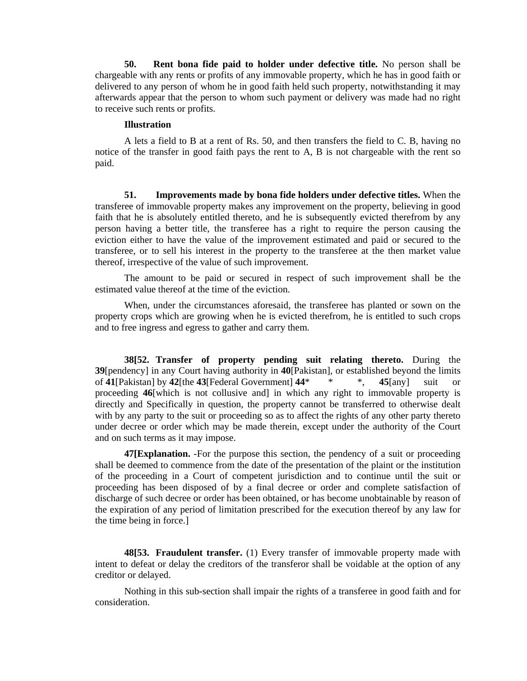**50. Rent bona fide paid to holder under defective title.** No person shall be chargeable with any rents or profits of any immovable property, which he has in good faith or delivered to any person of whom he in good faith held such property, notwithstanding it may afterwards appear that the person to whom such payment or delivery was made had no right to receive such rents or profits.

#### **Illustration**

A lets a field to B at a rent of Rs. 50, and then transfers the field to C. B, having no notice of the transfer in good faith pays the rent to A, B is not chargeable with the rent so paid.

**51. Improvements made by bona fide holders under defective titles.** When the transferee of immovable property makes any improvement on the property, believing in good faith that he is absolutely entitled thereto, and he is subsequently evicted therefrom by any person having a better title, the transferee has a right to require the person causing the eviction either to have the value of the improvement estimated and paid or secured to the transferee, or to sell his interest in the property to the transferee at the then market value thereof, irrespective of the value of such improvement.

The amount to be paid or secured in respect of such improvement shall be the estimated value thereof at the time of the eviction.

When, under the circumstances aforesaid, the transferee has planted or sown on the property crops which are growing when he is evicted therefrom, he is entitled to such crops and to free ingress and egress to gather and carry them.

**38[52. Transfer of property pending suit relating thereto.** During the **39**[pendency] in any Court having authority in **40**[Pakistan], or established beyond the limits of **41**[Pakistan] by **42**[the **43**[Federal Government] **44**\* \* \*, **45**[any] suit or proceeding **46**[which is not collusive and] in which any right to immovable property is directly and Specifically in question, the property cannot be transferred to otherwise dealt with by any party to the suit or proceeding so as to affect the rights of any other party thereto under decree or order which may be made therein, except under the authority of the Court and on such terms as it may impose.

**47[Explanation.** -For the purpose this section, the pendency of a suit or proceeding shall be deemed to commence from the date of the presentation of the plaint or the institution of the proceeding in a Court of competent jurisdiction and to continue until the suit or proceeding has been disposed of by a final decree or order and complete satisfaction of discharge of such decree or order has been obtained, or has become unobtainable by reason of the expiration of any period of limitation prescribed for the execution thereof by any law for the time being in force.]

**48[53. Fraudulent transfer.** (1) Every transfer of immovable property made with intent to defeat or delay the creditors of the transferor shall be voidable at the option of any creditor or delayed.

Nothing in this sub-section shall impair the rights of a transferee in good faith and for consideration.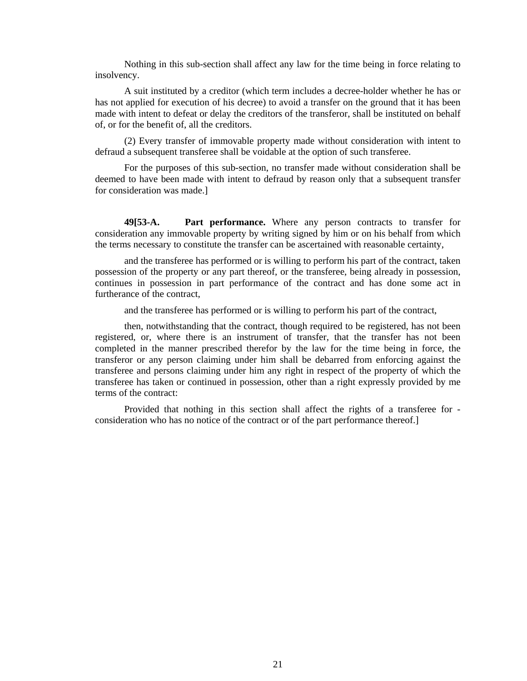Nothing in this sub-section shall affect any law for the time being in force relating to insolvency.

A suit instituted by a creditor (which term includes a decree-holder whether he has or has not applied for execution of his decree) to avoid a transfer on the ground that it has been made with intent to defeat or delay the creditors of the transferor, shall be instituted on behalf of, or for the benefit of, all the creditors.

(2) Every transfer of immovable property made without consideration with intent to defraud a subsequent transferee shall be voidable at the option of such transferee.

For the purposes of this sub-section, no transfer made without consideration shall be deemed to have been made with intent to defraud by reason only that a subsequent transfer for consideration was made.]

**49[53-A. Part performance.** Where any person contracts to transfer for consideration any immovable property by writing signed by him or on his behalf from which the terms necessary to constitute the transfer can be ascertained with reasonable certainty,

and the transferee has performed or is willing to perform his part of the contract, taken possession of the property or any part thereof, or the transferee, being already in possession, continues in possession in part performance of the contract and has done some act in furtherance of the contract,

and the transferee has performed or is willing to perform his part of the contract,

then, notwithstanding that the contract, though required to be registered, has not been registered, or, where there is an instrument of transfer, that the transfer has not been completed in the manner prescribed therefor by the law for the time being in force, the transferor or any person claiming under him shall be debarred from enforcing against the transferee and persons claiming under him any right in respect of the property of which the transferee has taken or continued in possession, other than a right expressly provided by me terms of the contract:

Provided that nothing in this section shall affect the rights of a transferee for consideration who has no notice of the contract or of the part performance thereof.]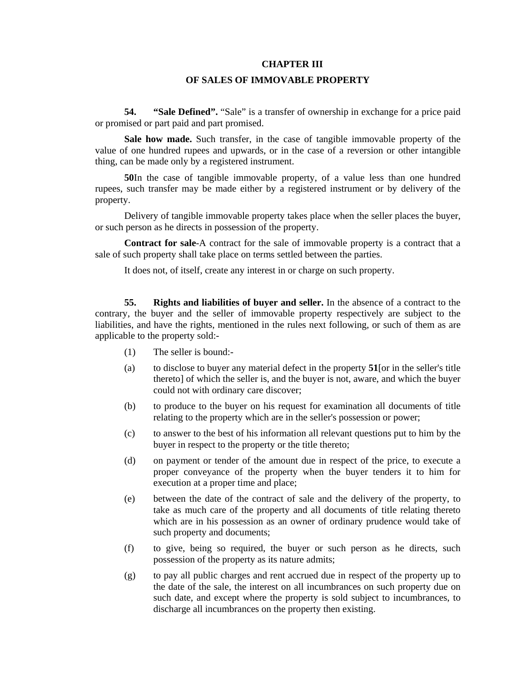### **CHAPTER III**

## **OF SALES OF IMMOVABLE PROPERTY**

**54. "Sale Defined".** "Sale" is a transfer of ownership in exchange for a price paid or promised or part paid and part promised.

**Sale how made.** Such transfer, in the case of tangible immovable property of the value of one hundred rupees and upwards, or in the case of a reversion or other intangible thing, can be made only by a registered instrument.

**50**In the case of tangible immovable property, of a value less than one hundred rupees, such transfer may be made either by a registered instrument or by delivery of the property.

Delivery of tangible immovable property takes place when the seller places the buyer, or such person as he directs in possession of the property.

**Contract for sale**-A contract for the sale of immovable property is a contract that a sale of such property shall take place on terms settled between the parties.

It does not, of itself, create any interest in or charge on such property.

**55. Rights and liabilities of buyer and seller.** In the absence of a contract to the contrary, the buyer and the seller of immovable property respectively are subject to the liabilities, and have the rights, mentioned in the rules next following, or such of them as are applicable to the property sold:-

- (1) The seller is bound:-
- (a) to disclose to buyer any material defect in the property **51**[or in the seller's title thereto] of which the seller is, and the buyer is not, aware, and which the buyer could not with ordinary care discover;
- (b) to produce to the buyer on his request for examination all documents of title relating to the property which are in the seller's possession or power;
- (c) to answer to the best of his information all relevant questions put to him by the buyer in respect to the property or the title thereto;
- (d) on payment or tender of the amount due in respect of the price, to execute a proper conveyance of the property when the buyer tenders it to him for execution at a proper time and place;
- (e) between the date of the contract of sale and the delivery of the property, to take as much care of the property and all documents of title relating thereto which are in his possession as an owner of ordinary prudence would take of such property and documents;
- (f) to give, being so required, the buyer or such person as he directs, such possession of the property as its nature admits;
- (g) to pay all public charges and rent accrued due in respect of the property up to the date of the sale, the interest on all incumbrances on such property due on such date, and except where the property is sold subject to incumbrances, to discharge all incumbrances on the property then existing.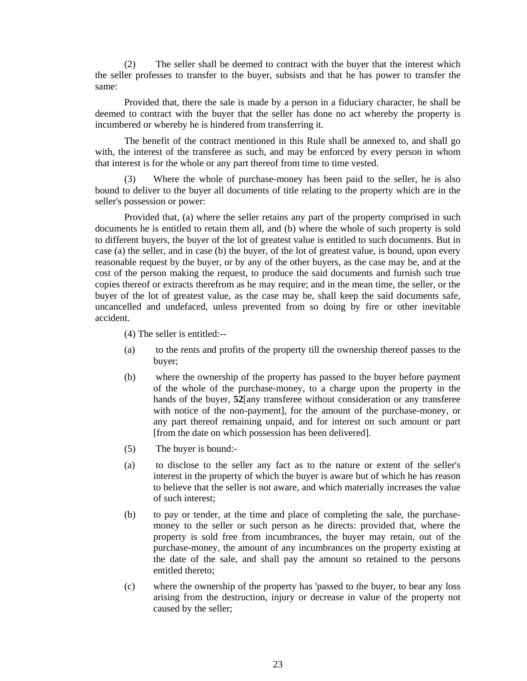(2) The seller shall be deemed to contract with the buyer that the interest which the seller professes to transfer to the buyer, subsists and that he has power to transfer the same:

Provided that, there the sale is made by a person in a fiduciary character, he shall be deemed to contract with the buyer that the seller has done no act whereby the property is incumbered or whereby he is hindered from transferring it.

The benefit of the contract mentioned in this Rule shall be annexed to, and shall go with, the interest of the transferee as such, and may be enforced by every person in whom that interest is for the whole or any part thereof from time to time vested.

Where the whole of purchase-money has been paid to the seller, he is also bound to deliver to the buyer all documents of title relating to the property which are in the seller's possession or power:

Provided that, (a) where the seller retains any part of the property comprised in such documents he is entitled to retain them all, and (b) where the whole of such property is sold to different buyers, the buyer of the lot of greatest value is entitled to such documents. But in case (a) the seller, and in case (b) the buyer, of the lot of greatest value, is bound, upon every reasonable request by the buyer, or by any of the other buyers, as the case may be, and at the cost of the person making the request, to produce the said documents and furnish such true copies thereof or extracts therefrom as he may require; and in the mean time, the seller, or the buyer of the lot of greatest value, as the case may be, shall keep the said documents safe, uncancelled and undefaced, unless prevented from so doing by fire or other inevitable accident.

(4) The seller is entitled:--

- (a) to the rents and profits of the property till the ownership thereof passes to the buyer;
- (b) where the ownership of the property has passed to the buyer before payment of the whole of the purchase-money, to a charge upon the property in the hands of the buyer, **52**[any transferee without consideration or any transferee with notice of the non-payment], for the amount of the purchase-money, or any part thereof remaining unpaid, and for interest on such amount or part [from the date on which possession has been delivered].
- (5) The buyer is bound:-
- (a) to disclose to the seller any fact as to the nature or extent of the seller's interest in the property of which the buyer is aware but of which he has reason to believe that the seller is not aware, and which materially increases the value of such interest;
- (b) to pay or tender, at the time and place of completing the sale, the purchasemoney to the seller or such person as he directs: provided that, where the property is sold free from incumbrances, the buyer may retain, out of the purchase-money, the amount of any incumbrances on the property existing at the date of the sale, and shall pay the amount so retained to the persons entitled thereto;
- (c) where the ownership of the property has 'passed to the buyer, to bear any loss arising from the destruction, injury or decrease in value of the property not caused by the seller;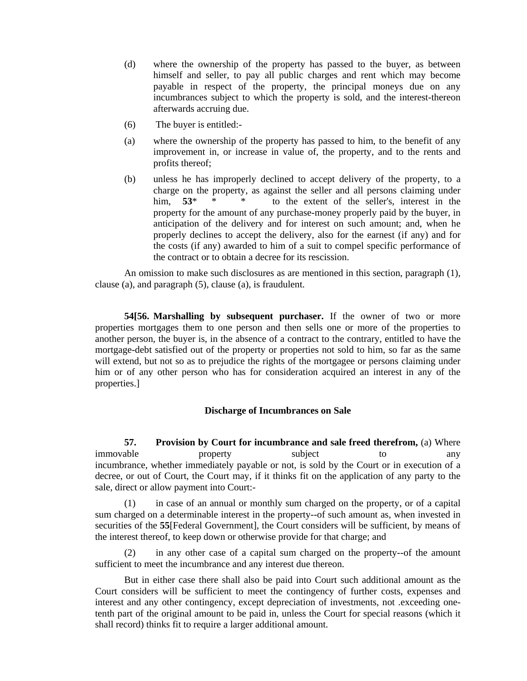- (d) where the ownership of the property has passed to the buyer, as between himself and seller, to pay all public charges and rent which may become payable in respect of the property, the principal moneys due on any incumbrances subject to which the property is sold, and the interest-thereon afterwards accruing due.
- (6) The buyer is entitled:-
- (a) where the ownership of the property has passed to him, to the benefit of any improvement in, or increase in value of, the property, and to the rents and profits thereof;
- (b) unless he has improperly declined to accept delivery of the property, to a charge on the property, as against the seller and all persons claiming under him,  $53^*$  \* \* to the extent of the seller's, interest in the property for the amount of any purchase-money properly paid by the buyer, in anticipation of the delivery and for interest on such amount; and, when he properly declines to accept the delivery, also for the earnest (if any) and for the costs (if any) awarded to him of a suit to compel specific performance of the contract or to obtain a decree for its rescission.

An omission to make such disclosures as are mentioned in this section, paragraph (1), clause (a), and paragraph (5), clause (a), is fraudulent.

**54[56. Marshalling by subsequent purchaser.** If the owner of two or more properties mortgages them to one person and then sells one or more of the properties to another person, the buyer is, in the absence of a contract to the contrary, entitled to have the mortgage-debt satisfied out of the property or properties not sold to him, so far as the same will extend, but not so as to prejudice the rights of the mortgagee or persons claiming under him or of any other person who has for consideration acquired an interest in any of the properties.]

## **Discharge of Incumbrances on Sale**

**57. Provision by Court for incumbrance and sale freed therefrom,** (a) Where immovable property subject to any incumbrance, whether immediately payable or not, is sold by the Court or in execution of a decree, or out of Court, the Court may, if it thinks fit on the application of any party to the sale, direct or allow payment into Court:-

(1) in case of an annual or monthly sum charged on the property, or of a capital sum charged on a determinable interest in the property--of such amount as, when invested in securities of the **55**[Federal Government], the Court considers will be sufficient, by means of the interest thereof, to keep down or otherwise provide for that charge; and

(2) in any other case of a capital sum charged on the property--of the amount sufficient to meet the incumbrance and any interest due thereon.

But in either case there shall also be paid into Court such additional amount as the Court considers will be sufficient to meet the contingency of further costs, expenses and interest and any other contingency, except depreciation of investments, not .exceeding onetenth part of the original amount to be paid in, unless the Court for special reasons (which it shall record) thinks fit to require a larger additional amount.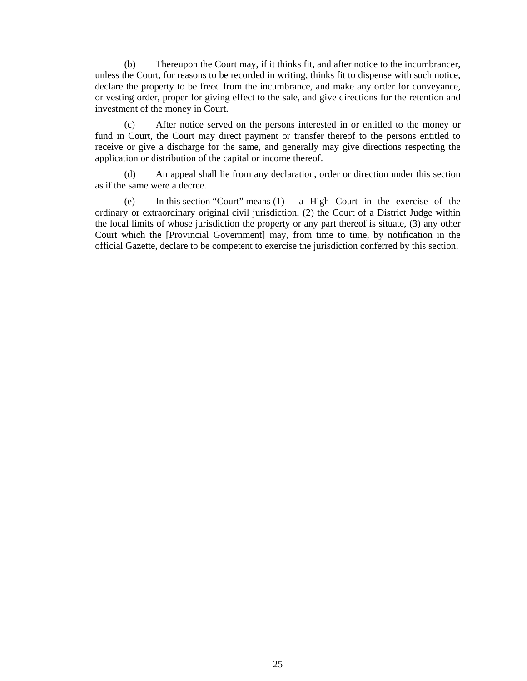(b) Thereupon the Court may, if it thinks fit, and after notice to the incumbrancer, unless the Court, for reasons to be recorded in writing, thinks fit to dispense with such notice, declare the property to be freed from the incumbrance, and make any order for conveyance, or vesting order, proper for giving effect to the sale, and give directions for the retention and investment of the money in Court.

(c) After notice served on the persons interested in or entitled to the money or fund in Court, the Court may direct payment or transfer thereof to the persons entitled to receive or give a discharge for the same, and generally may give directions respecting the application or distribution of the capital or income thereof.

(d) An appeal shall lie from any declaration, order or direction under this section as if the same were a decree.

(e) In this section "Court" means (1) a High Court in the exercise of the ordinary or extraordinary original civil jurisdiction, (2) the Court of a District Judge within the local limits of whose jurisdiction the property or any part thereof is situate, (3) any other Court which the [Provincial Government] may, from time to time, by notification in the official Gazette, declare to be competent to exercise the jurisdiction conferred by this section.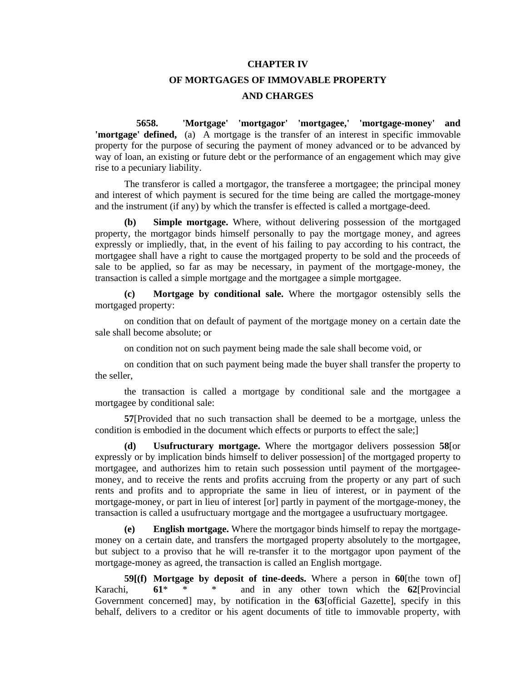#### **CHAPTER IV**

## **OF MORTGAGES OF IMMOVABLE PROPERTY AND CHARGES**

 **5658. 'Mortgage' 'mortgagor' 'mortgagee,' 'mortgage-money' and 'mortgage' defined,** (a) A mortgage is the transfer of an interest in specific immovable property for the purpose of securing the payment of money advanced or to be advanced by way of loan, an existing or future debt or the performance of an engagement which may give rise to a pecuniary liability.

The transferor is called a mortgagor, the transferee a mortgagee; the principal money and interest of which payment is secured for the time being are called the mortgage-money and the instrument (if any) by which the transfer is effected is called a mortgage-deed.

**(b) Simple mortgage.** Where, without delivering possession of the mortgaged property, the mortgagor binds himself personally to pay the mortgage money, and agrees expressly or impliedly, that, in the event of his failing to pay according to his contract, the mortgagee shall have a right to cause the mortgaged property to be sold and the proceeds of sale to be applied, so far as may be necessary, in payment of the mortgage-money, the transaction is called a simple mortgage and the mortgagee a simple mortgagee.

**(c) Mortgage by conditional sale.** Where the mortgagor ostensibly sells the mortgaged property:

on condition that on default of payment of the mortgage money on a certain date the sale shall become absolute; or

on condition not on such payment being made the sale shall become void, or

on condition that on such payment being made the buyer shall transfer the property to the seller,

the transaction is called a mortgage by conditional sale and the mortgagee a mortgagee by conditional sale:

**57**[Provided that no such transaction shall be deemed to be a mortgage, unless the condition is embodied in the document which effects or purports to effect the sale;]

**(d) Usufructurary mortgage.** Where the mortgagor delivers possession **58**[or expressly or by implication binds himself to deliver possession] of the mortgaged property to mortgagee, and authorizes him to retain such possession until payment of the mortgageemoney, and to receive the rents and profits accruing from the property or any part of such rents and profits and to appropriate the same in lieu of interest, or in payment of the mortgage-money, or part in lieu of interest [or] partly in payment of the mortgage-money, the transaction is called a usufructuary mortgage and the mortgagee a usufructuary mortgagee.

**(e) English mortgage.** Where the mortgagor binds himself to repay the mortgagemoney on a certain date, and transfers the mortgaged property absolutely to the mortgagee, but subject to a proviso that he will re-transfer it to the mortgagor upon payment of the mortgage-money as agreed, the transaction is called an English mortgage.

**59[(f) Mortgage by deposit of tine-deeds.** Where a person in **60**[the town of] Karachi, 61<sup>\*</sup> \* \* and in any other town which the 62<sup>[Provincial]</sup> Government concerned] may, by notification in the **63**[official Gazette], specify in this behalf, delivers to a creditor or his agent documents of title to immovable property, with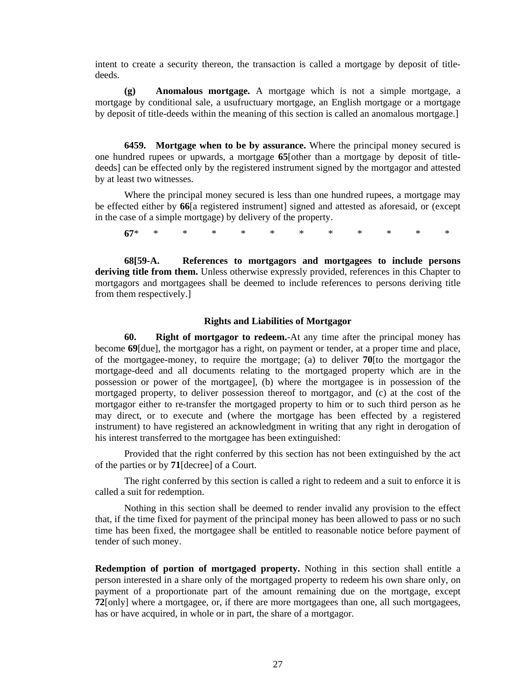intent to create a security thereon, the transaction is called a mortgage by deposit of titledeeds.

**(g) Anomalous mortgage.** A mortgage which is not a simple mortgage, a mortgage by conditional sale, a usufructuary mortgage, an English mortgage or a mortgage by deposit of title-deeds within the meaning of this section is called an anomalous mortgage.]

**6459. Mortgage when to be by assurance.** Where the principal money secured is one hundred rupees or upwards, a mortgage **65**[other than a mortgage by deposit of titledeeds] can be effected only by the registered instrument signed by the mortgagor and attested by at least two witnesses.

Where the principal money secured is less than one hundred rupees, a mortgage may be effected either by **66**[a registered instrument] signed and attested as aforesaid, or (except in the case of a simple mortgage) by delivery of the property.

**67**\* \* \* \* \* \* \* \* \* \* \* \*

**68[59-A. References to mortgagors and mortgagees to include persons deriving title from them.** Unless otherwise expressly provided, references in this Chapter to mortgagors and mortgagees shall be deemed to include references to persons deriving title from them respectively.]

#### **Rights and Liabilities of Mortgagor**

**60. Right of mortgagor to redeem.**-At any time after the principal money has become **69**[due], the mortgagor has a right, on payment or tender, at a proper time and place, of the mortgagee-money, to require the mortgage; (a) to deliver **70**[to the mortgagor the mortgage-deed and all documents relating to the mortgaged property which are in the possession or power of the mortgagee], (b) where the mortgagee is in possession of the mortgaged property, to deliver possession thereof to mortgagor, and (c) at the cost of the mortgagor either to re-transfer the mortgaged property to him or to such third person as he may direct, or to execute and (where the mortgage has been effected by a registered instrument) to have registered an acknowledgment in writing that any right in derogation of his interest transferred to the mortgagee has been extinguished:

Provided that the right conferred by this section has not been extinguished by the act of the parties or by **71**[decree] of a Court.

The right conferred by this section is called a right to redeem and a suit to enforce it is called a suit for redemption.

Nothing in this section shall be deemed to render invalid any provision to the effect that, if the time fixed for payment of the principal money has been allowed to pass or no such time has been fixed, the mortgagee shall be entitled to reasonable notice before payment of tender of such money.

**Redemption of portion of mortgaged property.** Nothing in this section shall entitle a person interested in a share only of the mortgaged property to redeem his own share only, on payment of a proportionate part of the amount remaining due on the mortgage, except **72**[only] where a mortgagee, or, if there are more mortgagees than one, all such mortgagees, has or have acquired, in whole or in part, the share of a mortgagor.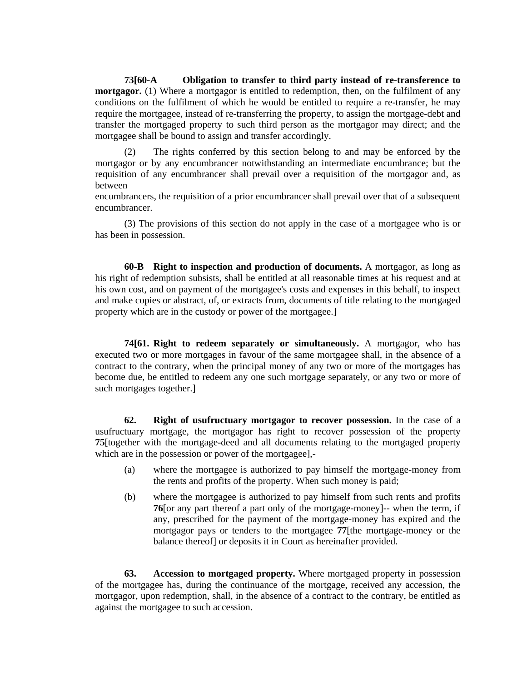**73[60-A Obligation to transfer to third party instead of re-transference to mortgagor.** (1) Where a mortgagor is entitled to redemption, then, on the fulfilment of any conditions on the fulfilment of which he would be entitled to require a re-transfer, he may require the mortgagee, instead of re-transferring the property, to assign the mortgage-debt and transfer the mortgaged property to such third person as the mortgagor may direct; and the mortgagee shall be bound to assign and transfer accordingly.

(2) The rights conferred by this section belong to and may be enforced by the mortgagor or by any encumbrancer notwithstanding an intermediate encumbrance; but the requisition of any encumbrancer shall prevail over a requisition of the mortgagor and, as between

encumbrancers, the requisition of a prior encumbrancer shall prevail over that of a subsequent encumbrancer.

(3) The provisions of this section do not apply in the case of a mortgagee who is or has been in possession.

**60-B Right to inspection and production of documents.** A mortgagor, as long as his right of redemption subsists, shall be entitled at all reasonable times at his request and at his own cost, and on payment of the mortgagee's costs and expenses in this behalf, to inspect and make copies or abstract, of, or extracts from, documents of title relating to the mortgaged property which are in the custody or power of the mortgagee.]

**74[61. Right to redeem separately or simultaneously.** A mortgagor, who has executed two or more mortgages in favour of the same mortgagee shall, in the absence of a contract to the contrary, when the principal money of any two or more of the mortgages has become due, be entitled to redeem any one such mortgage separately, or any two or more of such mortgages together.]

**62. Right of usufructuary mortgagor to recover possession.** In the case of a usufructuary mortgage, the mortgagor has right to recover possession of the property **75**[together with the mortgage-deed and all documents relating to the mortgaged property which are in the possession or power of the mortgagee],-

- (a) where the mortgagee is authorized to pay himself the mortgage-money from the rents and profits of the property. When such money is paid;
- (b) where the mortgagee is authorized to pay himself from such rents and profits **76**[or any part thereof a part only of the mortgage-money]-- when the term, if any, prescribed for the payment of the mortgage-money has expired and the mortgagor pays or tenders to the mortgagee 77<sup>[the mortgage-money or the</sup> balance thereof] or deposits it in Court as hereinafter provided.

**63. Accession to mortgaged property.** Where mortgaged property in possession of the mortgagee has, during the continuance of the mortgage, received any accession, the mortgagor, upon redemption, shall, in the absence of a contract to the contrary, be entitled as against the mortgagee to such accession.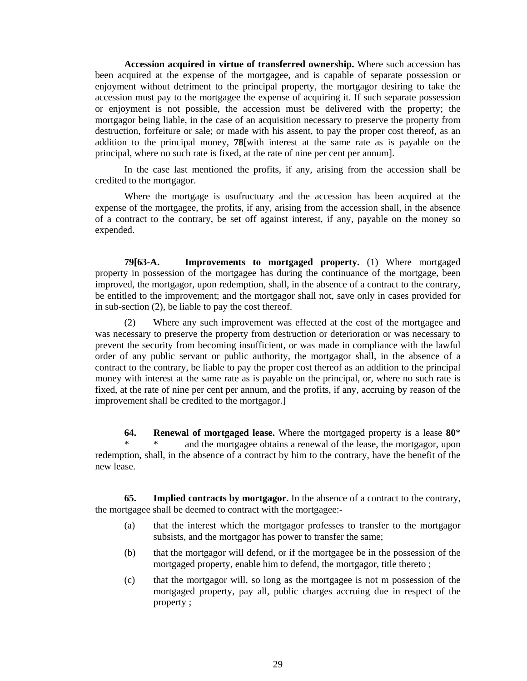**Accession acquired in virtue of transferred ownership.** Where such accession has been acquired at the expense of the mortgagee, and is capable of separate possession or enjoyment without detriment to the principal property, the mortgagor desiring to take the accession must pay to the mortgagee the expense of acquiring it. If such separate possession or enjoyment is not possible, the accession must be delivered with the property; the mortgagor being liable, in the case of an acquisition necessary to preserve the property from destruction, forfeiture or sale; or made with his assent, to pay the proper cost thereof, as an addition to the principal money, **78**[with interest at the same rate as is payable on the principal, where no such rate is fixed, at the rate of nine per cent per annum].

In the case last mentioned the profits, if any, arising from the accession shall be credited to the mortgagor.

Where the mortgage is usufructuary and the accession has been acquired at the expense of the mortgagee, the profits, if any, arising from the accession shall, in the absence of a contract to the contrary, be set off against interest, if any, payable on the money so expended.

**79[63-A. Improvements to mortgaged property.** (1) Where mortgaged property in possession of the mortgagee has during the continuance of the mortgage, been improved, the mortgagor, upon redemption, shall, in the absence of a contract to the contrary, be entitled to the improvement; and the mortgagor shall not, save only in cases provided for in sub-section (2), be liable to pay the cost thereof.

(2) Where any such improvement was effected at the cost of the mortgagee and was necessary to preserve the property from destruction or deterioration or was necessary to prevent the security from becoming insufficient, or was made in compliance with the lawful order of any public servant or public authority, the mortgagor shall, in the absence of a contract to the contrary, be liable to pay the proper cost thereof as an addition to the principal money with interest at the same rate as is payable on the principal, or, where no such rate is fixed, at the rate of nine per cent per annum, and the profits, if any, accruing by reason of the improvement shall be credited to the mortgagor.]

**64. Renewal of mortgaged lease.** Where the mortgaged property is a lease **80**\* and the mortgagee obtains a renewal of the lease, the mortgagor, upon redemption, shall, in the absence of a contract by him to the contrary, have the benefit of the new lease.

**65. Implied contracts by mortgagor.** In the absence of a contract to the contrary, the mortgagee shall be deemed to contract with the mortgagee:-

- (a) that the interest which the mortgagor professes to transfer to the mortgagor subsists, and the mortgagor has power to transfer the same;
- (b) that the mortgagor will defend, or if the mortgagee be in the possession of the mortgaged property, enable him to defend, the mortgagor, title thereto ;
- (c) that the mortgagor will, so long as the mortgagee is not m possession of the mortgaged property, pay all, public charges accruing due in respect of the property ;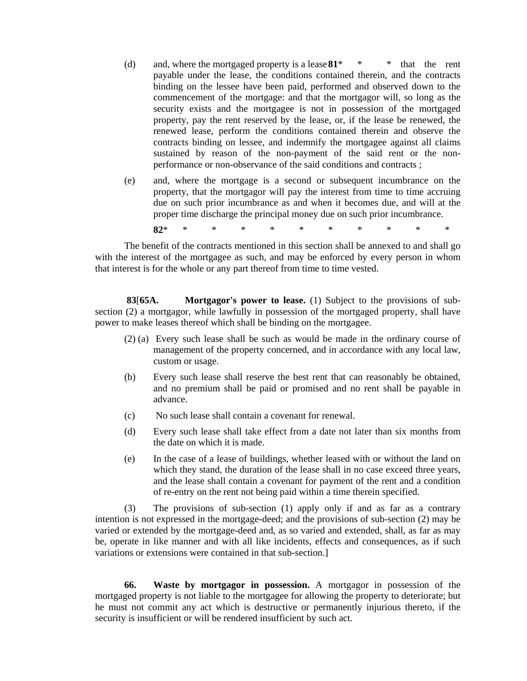- (d) and, where the mortgaged property is a lease **81**\* \* \* that the rent payable under the lease, the conditions contained therein, and the contracts binding on the lessee have been paid, performed and observed down to the commencement of the mortgage: and that the mortgagor will, so long as the security exists and the mortgagee is not in possession of the mortgaged property, pay the rent reserved by the lease, or, if the lease be renewed, the renewed lease, perform the conditions contained therein and observe the contracts binding on lessee, and indemnify the mortgagee against all claims sustained by reason of the non-payment of the said rent or the nonperformance or non-observance of the said conditions and contracts ;
- (e) and, where the mortgage is a second or subsequent incumbrance on the property, that the mortgagor will pay the interest from time to time accruing due on such prior incumbrance as and when it becomes due, and will at the proper time discharge the principal money due on such prior incumbrance.

**82**\* \* \* \* \* \* \* \* \* \* \*

The benefit of the contracts mentioned in this section shall be annexed to and shall go with the interest of the mortgagee as such, and may be enforced by every person in whom that interest is for the whole or any part thereof from time to time vested.

**83**[**65A. Mortgagor's power to lease.** (1) Subject to the provisions of subsection (2) a mortgagor, while lawfully in possession of the mortgaged property, shall have power to make leases thereof which shall be binding on the mortgagee.

- (2) (a) Every such lease shall be such as would be made in the ordinary course of management of the property concerned, and in accordance with any local law, custom or usage.
- (b) Every such lease shall reserve the best rent that can reasonably be obtained, and no premium shall be paid or promised and no rent shall be payable in advance.
- (c) No such lease shall contain a covenant for renewal.
- (d) Every such lease shall take effect from a date not later than six months from the date on which it is made.
- (e) In the case of a lease of buildings, whether leased with or without the land on which they stand, the duration of the lease shall in no case exceed three years, and the lease shall contain a covenant for payment of the rent and a condition of re-entry on the rent not being paid within a time therein specified.

(3) The provisions of sub-section (1) apply only if and as far as a contrary intention is not expressed in the mortgage-deed; and the provisions of sub-section (2) may be varied or extended by the mortgage-deed and, as so varied and extended, shall, as far as may be, operate in like manner and with all like incidents, effects and consequences, as if such variations or extensions were contained in that sub-section.]

**66. Waste by mortgagor in possession.** A mortgagor in possession of the mortgaged property is not liable to the mortgagee for allowing the property to deteriorate; but he must not commit any act which is destructive or permanently injurious thereto, if the security is insufficient or will be rendered insufficient by such act.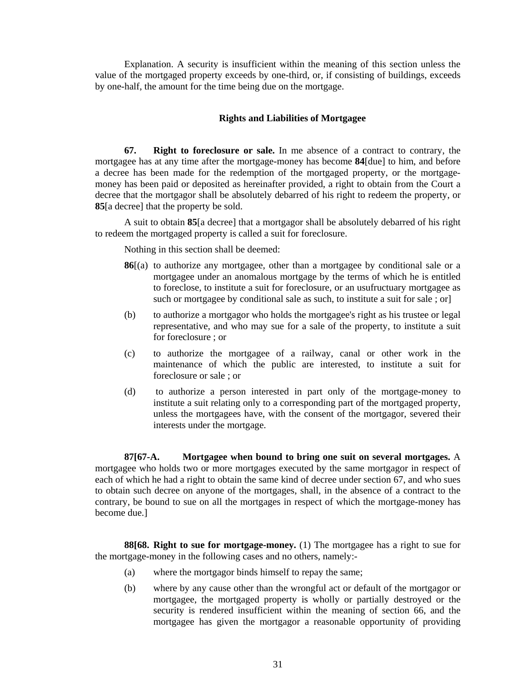Explanation. A security is insufficient within the meaning of this section unless the value of the mortgaged property exceeds by one-third, or, if consisting of buildings, exceeds by one-half, the amount for the time being due on the mortgage.

## **Rights and Liabilities of Mortgagee**

**67. Right to foreclosure or sale.** In me absence of a contract to contrary, the mortgagee has at any time after the mortgage-money has become **84**[due] to him, and before a decree has been made for the redemption of the mortgaged property, or the mortgagemoney has been paid or deposited as hereinafter provided, a right to obtain from the Court a decree that the mortgagor shall be absolutely debarred of his right to redeem the property, or **85**[a decree] that the property be sold.

A suit to obtain **85**[a decree] that a mortgagor shall be absolutely debarred of his right to redeem the mortgaged property is called a suit for foreclosure.

Nothing in this section shall be deemed:

- **86**[(a) to authorize any mortgagee, other than a mortgagee by conditional sale or a mortgagee under an anomalous mortgage by the terms of which he is entitled to foreclose, to institute a suit for foreclosure, or an usufructuary mortgagee as such or mortgagee by conditional sale as such, to institute a suit for sale ; or]
- (b) to authorize a mortgagor who holds the mortgagee's right as his trustee or legal representative, and who may sue for a sale of the property, to institute a suit for foreclosure ; or
- (c) to authorize the mortgagee of a railway, canal or other work in the maintenance of which the public are interested, to institute a suit for foreclosure or sale ; or
- (d) to authorize a person interested in part only of the mortgage-money to institute a suit relating only to a corresponding part of the mortgaged property, unless the mortgagees have, with the consent of the mortgagor, severed their interests under the mortgage.

**87[67-A. Mortgagee when bound to bring one suit on several mortgages.** A mortgagee who holds two or more mortgages executed by the same mortgagor in respect of each of which he had a right to obtain the same kind of decree under section 67, and who sues to obtain such decree on anyone of the mortgages, shall, in the absence of a contract to the contrary, be bound to sue on all the mortgages in respect of which the mortgage-money has become due.]

**88[68. Right to sue for mortgage-money.** (1) The mortgagee has a right to sue for the mortgage-money in the following cases and no others, namely:-

- (a) where the mortgagor binds himself to repay the same;
- (b) where by any cause other than the wrongful act or default of the mortgagor or mortgagee, the mortgaged property is wholly or partially destroyed or the security is rendered insufficient within the meaning of section 66, and the mortgagee has given the mortgagor a reasonable opportunity of providing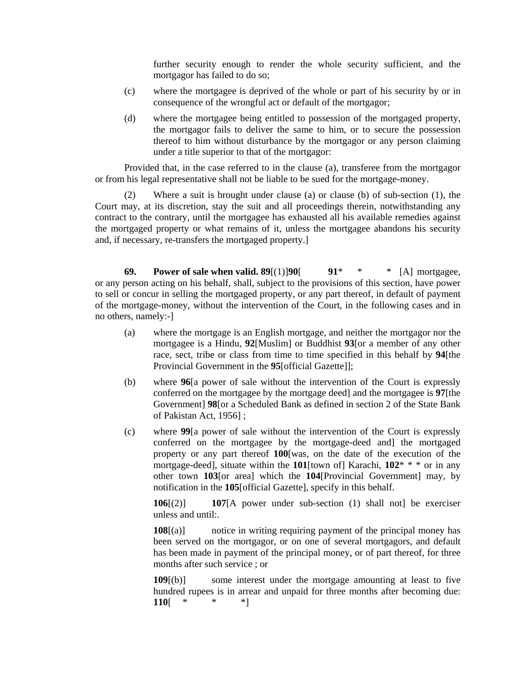further security enough to render the whole security sufficient, and the mortgagor has failed to do so;

- (c) where the mortgagee is deprived of the whole or part of his security by or in consequence of the wrongful act or default of the mortgagor;
- (d) where the mortgagee being entitled to possession of the mortgaged property, the mortgagor fails to deliver the same to him, or to secure the possession thereof to him without disturbance by the mortgagor or any person claiming under a title superior to that of the mortgagor:

Provided that, in the case referred to in the clause (a), transferee from the mortgagor or from his legal representative shall not be liable to be sued for the mortgage-money.

Where a suit is brought under clause (a) or clause (b) of sub-section  $(1)$ , the Court may, at its discretion, stay the suit and all proceedings therein, notwithstanding any contract to the contrary, until the mortgagee has exhausted all his available remedies against the mortgaged property or what remains of it, unless the mortgagee abandons his security and, if necessary, re-transfers the mortgaged property.]

**69. Power of sale when valid. 89**[(1)]**90**[ **91**\* \* \* [A] mortgagee, or any person acting on his behalf, shall, subject to the provisions of this section, have power to sell or concur in selling the mortgaged property, or any part thereof, in default of payment of the mortgage-money, without the intervention of the Court, in the following cases and in no others, namely:-]

- (a) where the mortgage is an English mortgage, and neither the mortgagor nor the mortgagee is a Hindu, **92**[Muslim] or Buddhist **93**[or a member of any other race, sect, tribe or class from time to time specified in this behalf by **94**[the Provincial Government in the **95**[official Gazette]];
- (b) where **96**[a power of sale without the intervention of the Court is expressly conferred on the mortgagee by the mortgage deed] and the mortgagee is **97**[the Government] **98**[or a Scheduled Bank as defined in section 2 of the State Bank of Pakistan Act, 1956] ;
- (c) where **99**[a power of sale without the intervention of the Court is expressly conferred on the mortgagee by the mortgage-deed and] the mortgaged property or any part thereof **100**[was, on the date of the execution of the mortgage-deed], situate within the **101**[town of] Karachi, **102**\* \* \* or in any other town **103**[or area] which the **104**[Provincial Government] may, by notification in the **105**[official Gazette], specify in this behalf.

**106**[(2)] **107**[A power under sub-section (1) shall not] be exerciser unless and until:.

**108**[(a)] notice in writing requiring payment of the principal money has been served on the mortgagor, or on one of several mortgagors, and default has been made in payment of the principal money, or of part thereof, for three months after such service ; or

**109**[(b)] some interest under the mortgage amounting at least to five hundred rupees is in arrear and unpaid for three months after becoming due: **110**[ \* \* \*]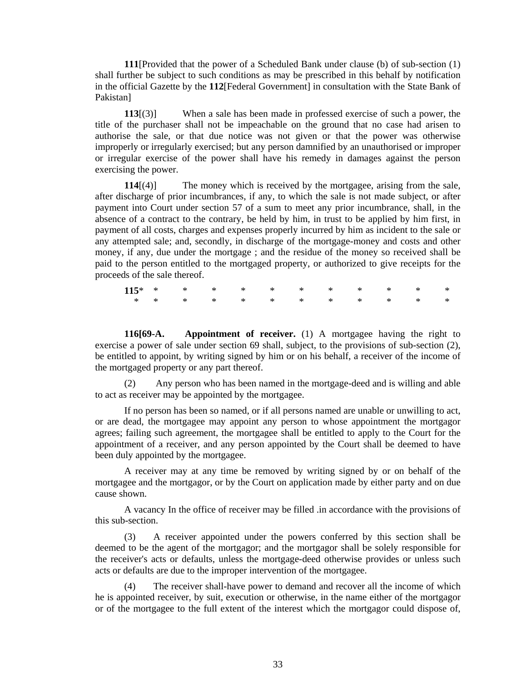**111**[Provided that the power of a Scheduled Bank under clause (b) of sub-section (1) shall further be subject to such conditions as may be prescribed in this behalf by notification in the official Gazette by the **112**[Federal Government] in consultation with the State Bank of Pakistan]

**113**[(3)] When a sale has been made in professed exercise of such a power, the title of the purchaser shall not be impeachable on the ground that no case had arisen to authorise the sale, or that due notice was not given or that the power was otherwise improperly or irregularly exercised; but any person damnified by an unauthorised or improper or irregular exercise of the power shall have his remedy in damages against the person exercising the power.

**114**[(4)] The money which is received by the mortgagee, arising from the sale, after discharge of prior incumbrances, if any, to which the sale is not made subject, or after payment into Court under section 57 of a sum to meet any prior incumbrance, shall, in the absence of a contract to the contrary, be held by him, in trust to be applied by him first, in payment of all costs, charges and expenses properly incurred by him as incident to the sale or any attempted sale; and, secondly, in discharge of the mortgage-money and costs and other money, if any, due under the mortgage ; and the residue of the money so received shall be paid to the person entitled to the mortgaged property, or authorized to give receipts for the proceeds of the sale thereof.

|  | 115* * * * * * * * * * * * |  |  |  |  |  |
|--|----------------------------|--|--|--|--|--|
|  |                            |  |  |  |  |  |

**116[69-A. Appointment of receiver.** (1) A mortgagee having the right to exercise a power of sale under section 69 shall, subject, to the provisions of sub-section (2), be entitled to appoint, by writing signed by him or on his behalf, a receiver of the income of the mortgaged property or any part thereof.

(2) Any person who has been named in the mortgage-deed and is willing and able to act as receiver may be appointed by the mortgagee.

If no person has been so named, or if all persons named are unable or unwilling to act, or are dead, the mortgagee may appoint any person to whose appointment the mortgagor agrees; failing such agreement, the mortgagee shall be entitled to apply to the Court for the appointment of a receiver, and any person appointed by the Court shall be deemed to have been duly appointed by the mortgagee.

A receiver may at any time be removed by writing signed by or on behalf of the mortgagee and the mortgagor, or by the Court on application made by either party and on due cause shown.

A vacancy In the office of receiver may be filled .in accordance with the provisions of this sub-section.

(3) A receiver appointed under the powers conferred by this section shall be deemed to be the agent of the mortgagor; and the mortgagor shall be solely responsible for the receiver's acts or defaults, unless the mortgage-deed otherwise provides or unless such acts or defaults are due to the improper intervention of the mortgagee.

(4) The receiver shall-have power to demand and recover all the income of which he is appointed receiver, by suit, execution or otherwise, in the name either of the mortgagor or of the mortgagee to the full extent of the interest which the mortgagor could dispose of,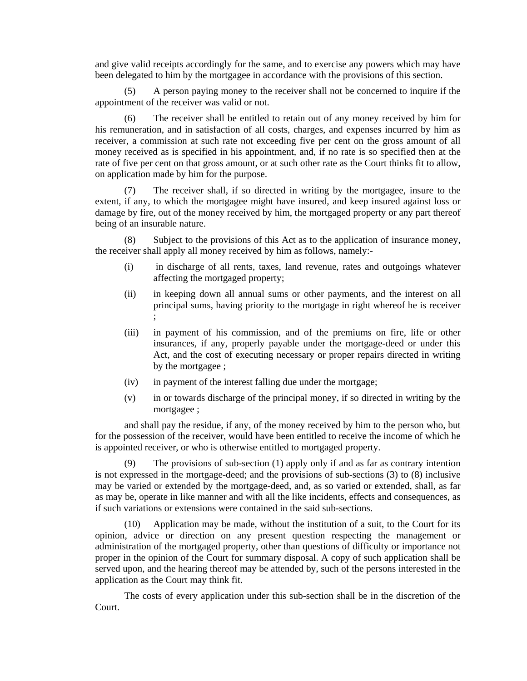and give valid receipts accordingly for the same, and to exercise any powers which may have been delegated to him by the mortgagee in accordance with the provisions of this section.

(5) A person paying money to the receiver shall not be concerned to inquire if the appointment of the receiver was valid or not.

(6) The receiver shall be entitled to retain out of any money received by him for his remuneration, and in satisfaction of all costs, charges, and expenses incurred by him as receiver, a commission at such rate not exceeding five per cent on the gross amount of all money received as is specified in his appointment, and, if no rate is so specified then at the rate of five per cent on that gross amount, or at such other rate as the Court thinks fit to allow, on application made by him for the purpose.

(7) The receiver shall, if so directed in writing by the mortgagee, insure to the extent, if any, to which the mortgagee might have insured, and keep insured against loss or damage by fire, out of the money received by him, the mortgaged property or any part thereof being of an insurable nature.

(8) Subject to the provisions of this Act as to the application of insurance money, the receiver shall apply all money received by him as follows, namely:-

- (i) in discharge of all rents, taxes, land revenue, rates and outgoings whatever affecting the mortgaged property;
- (ii) in keeping down all annual sums or other payments, and the interest on all principal sums, having priority to the mortgage in right whereof he is receiver ;
- (iii) in payment of his commission, and of the premiums on fire, life or other insurances, if any, properly payable under the mortgage-deed or under this Act, and the cost of executing necessary or proper repairs directed in writing by the mortgagee ;
- (iv) in payment of the interest falling due under the mortgage;
- (v) in or towards discharge of the principal money, if so directed in writing by the mortgagee ;

and shall pay the residue, if any, of the money received by him to the person who, but for the possession of the receiver, would have been entitled to receive the income of which he is appointed receiver, or who is otherwise entitled to mortgaged property.

(9) The provisions of sub-section (1) apply only if and as far as contrary intention is not expressed in the mortgage-deed; and the provisions of sub-sections (3) to (8) inclusive may be varied or extended by the mortgage-deed, and, as so varied or extended, shall, as far as may be, operate in like manner and with all the like incidents, effects and consequences, as if such variations or extensions were contained in the said sub-sections.

(10) Application may be made, without the institution of a suit, to the Court for its opinion, advice or direction on any present question respecting the management or administration of the mortgaged property, other than questions of difficulty or importance not proper in the opinion of the Court for summary disposal. A copy of such application shall be served upon, and the hearing thereof may be attended by, such of the persons interested in the application as the Court may think fit.

The costs of every application under this sub-section shall be in the discretion of the Court.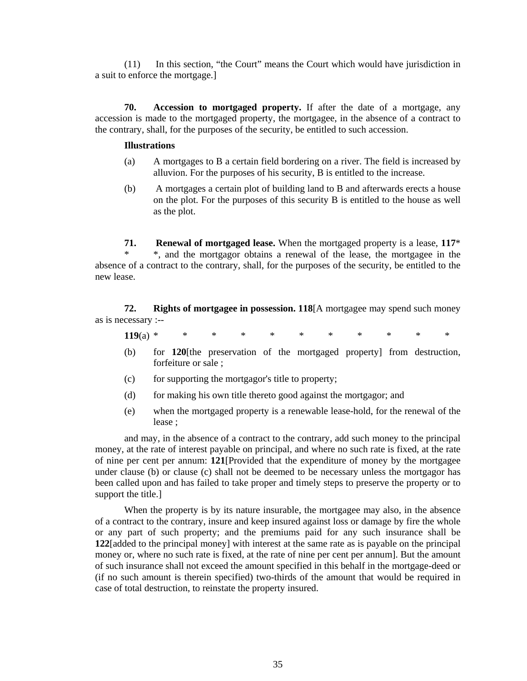(11) In this section, "the Court" means the Court which would have jurisdiction in a suit to enforce the mortgage.]

**70. Accession to mortgaged property.** If after the date of a mortgage, any accession is made to the mortgaged property, the mortgagee, in the absence of a contract to the contrary, shall, for the purposes of the security, be entitled to such accession.

#### **Illustrations**

- (a) A mortgages to B a certain field bordering on a river. The field is increased by alluvion. For the purposes of his security, B is entitled to the increase.
- (b) A mortgages a certain plot of building land to B and afterwards erects a house on the plot. For the purposes of this security B is entitled to the house as well as the plot.

**71. Renewal of mortgaged lease.** When the mortgaged property is a lease, **117**\* \* \*, and the mortgagor obtains a renewal of the lease, the mortgagee in the absence of a contract to the contrary, shall, for the purposes of the security, be entitled to the new lease.

**72. Rights of mortgagee in possession. 118**[A mortgagee may spend such money as is necessary :--

- **119**(a) \* \* \* \* \* \* \* \* \* \* \*
- (b) for **120**[the preservation of the mortgaged property] from destruction, forfeiture or sale ;
- (c) for supporting the mortgagor's title to property;
- (d) for making his own title thereto good against the mortgagor; and
- (e) when the mortgaged property is a renewable lease-hold, for the renewal of the lease ;

and may, in the absence of a contract to the contrary, add such money to the principal money, at the rate of interest payable on principal, and where no such rate is fixed, at the rate of nine per cent per annum: **121**[Provided that the expenditure of money by the mortgagee under clause (b) or clause (c) shall not be deemed to be necessary unless the mortgagor has been called upon and has failed to take proper and timely steps to preserve the property or to support the title.]

When the property is by its nature insurable, the mortgagee may also, in the absence of a contract to the contrary, insure and keep insured against loss or damage by fire the whole or any part of such property; and the premiums paid for any such insurance shall be **122**[added to the principal money] with interest at the same rate as is payable on the principal money or, where no such rate is fixed, at the rate of nine per cent per annum]. But the amount of such insurance shall not exceed the amount specified in this behalf in the mortgage-deed or (if no such amount is therein specified) two-thirds of the amount that would be required in case of total destruction, to reinstate the property insured.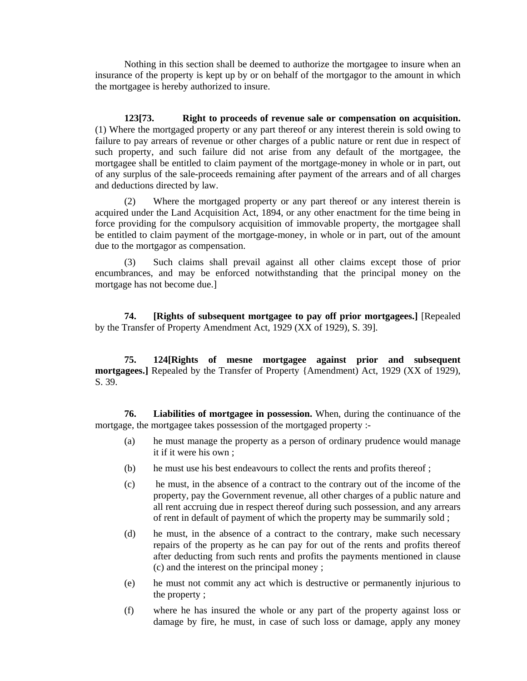Nothing in this section shall be deemed to authorize the mortgagee to insure when an insurance of the property is kept up by or on behalf of the mortgagor to the amount in which the mortgagee is hereby authorized to insure.

**123[73. Right to proceeds of revenue sale or compensation on acquisition.** (1) Where the mortgaged property or any part thereof or any interest therein is sold owing to failure to pay arrears of revenue or other charges of a public nature or rent due in respect of such property, and such failure did not arise from any default of the mortgagee, the mortgagee shall be entitled to claim payment of the mortgage-money in whole or in part, out of any surplus of the sale-proceeds remaining after payment of the arrears and of all charges and deductions directed by law.

(2) Where the mortgaged property or any part thereof or any interest therein is acquired under the Land Acquisition Act, 1894, or any other enactment for the time being in force providing for the compulsory acquisition of immovable property, the mortgagee shall be entitled to claim payment of the mortgage-money, in whole or in part, out of the amount due to the mortgagor as compensation.

(3) Such claims shall prevail against all other claims except those of prior encumbrances, and may be enforced notwithstanding that the principal money on the mortgage has not become due.]

**74. [Rights of subsequent mortgagee to pay off prior mortgagees.]** [Repealed by the Transfer of Property Amendment Act, 1929 (XX of 1929), S. 39].

**75. 124[Rights of mesne mortgagee against prior and subsequent mortgagees.]** Repealed by the Transfer of Property {Amendment) Act, 1929 (XX of 1929), S. 39.

**76. Liabilities of mortgagee in possession.** When, during the continuance of the mortgage, the mortgagee takes possession of the mortgaged property :-

- (a) he must manage the property as a person of ordinary prudence would manage it if it were his own ;
- (b) he must use his best endeavours to collect the rents and profits thereof ;
- (c) he must, in the absence of a contract to the contrary out of the income of the property, pay the Government revenue, all other charges of a public nature and all rent accruing due in respect thereof during such possession, and any arrears of rent in default of payment of which the property may be summarily sold ;
- (d) he must, in the absence of a contract to the contrary, make such necessary repairs of the property as he can pay for out of the rents and profits thereof after deducting from such rents and profits the payments mentioned in clause (c) and the interest on the principal money ;
- (e) he must not commit any act which is destructive or permanently injurious to the property ;
- (f) where he has insured the whole or any part of the property against loss or damage by fire, he must, in case of such loss or damage, apply any money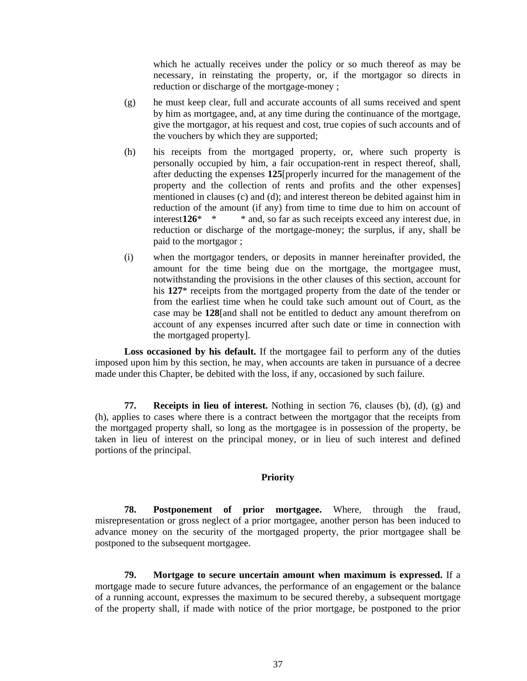which he actually receives under the policy or so much thereof as may be necessary, in reinstating the property, or, if the mortgagor so directs in reduction or discharge of the mortgage-money ;

- (g) he must keep clear, full and accurate accounts of all sums received and spent by him as mortgagee, and, at any time during the continuance of the mortgage, give the mortgagor, at his request and cost, true copies of such accounts and of the vouchers by which they are supported;
- (h) his receipts from the mortgaged property, or, where such property is personally occupied by him, a fair occupation-rent in respect thereof, shall, after deducting the expenses **125**[properly incurred for the management of the property and the collection of rents and profits and the other expenses] mentioned in clauses (c) and (d); and interest thereon be debited against him in reduction of the amount (if any) from time to time due to him on account of interest  $126^*$  \* \* and, so far as such receipts exceed any interest due, in reduction or discharge of the mortgage-money; the surplus, if any, shall be paid to the mortgagor ;
- (i) when the mortgagor tenders, or deposits in manner hereinafter provided, the amount for the time being due on the mortgage, the mortgagee must, notwithstanding the provisions in the other clauses of this section, account for his **127**\* receipts from the mortgaged property from the date of the tender or from the earliest time when he could take such amount out of Court, as the case may be **128**[and shall not be entitled to deduct any amount therefrom on account of any expenses incurred after such date or time in connection with the mortgaged property].

Loss occasioned by his default. If the mortgagee fail to perform any of the duties imposed upon him by this section, he may, when accounts are taken in pursuance of a decree made under this Chapter, be debited with the loss, if any, occasioned by such failure.

**77. Receipts in lieu of interest.** Nothing in section 76, clauses (b), (d), (g) and (h), applies to cases where there is a contract between the mortgagor that the receipts from the mortgaged property shall, so long as the mortgagee is in possession of the property, be taken in lieu of interest on the principal money, or in lieu of such interest and defined portions of the principal.

## **Priority**

**78. Postponement of prior mortgagee.** Where, through the fraud, misrepresentation or gross neglect of a prior mortgagee, another person has been induced to advance money on the security of the mortgaged property, the prior mortgagee shall be postponed to the subsequent mortgagee.

**79. Mortgage to secure uncertain amount when maximum is expressed.** If a mortgage made to secure future advances, the performance of an engagement or the balance of a running account, expresses the maximum to be secured thereby, a subsequent mortgage of the property shall, if made with notice of the prior mortgage, be postponed to the prior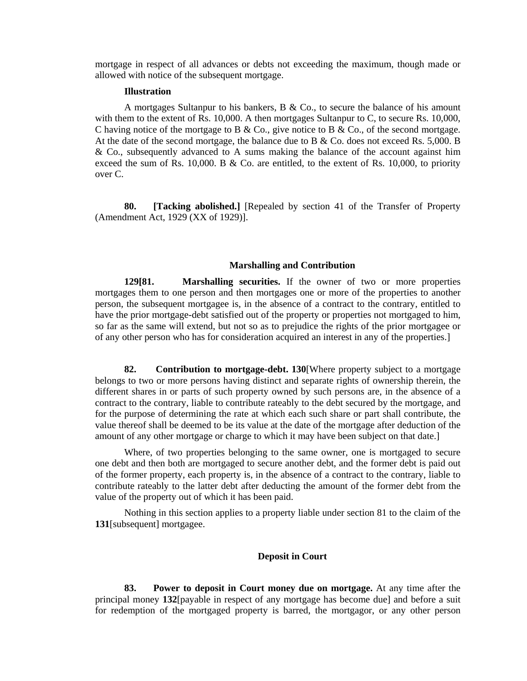mortgage in respect of all advances or debts not exceeding the maximum, though made or allowed with notice of the subsequent mortgage.

#### **Illustration**

A mortgages Sultanpur to his bankers,  $B \& Co.,$  to secure the balance of his amount with them to the extent of Rs. 10,000. A then mortgages Sultanpur to C, to secure Rs. 10,000, C having notice of the mortgage to B  $&$  Co., give notice to B  $&$  Co., of the second mortgage. At the date of the second mortgage, the balance due to B & Co. does not exceed Rs. 5,000. B & Co., subsequently advanced to A sums making the balance of the account against him exceed the sum of Rs. 10,000. B & Co. are entitled, to the extent of Rs. 10,000, to priority over C.

**80. [Tacking abolished.]** [Repealed by section 41 of the Transfer of Property (Amendment Act, 1929 (XX of 1929)].

#### **Marshalling and Contribution**

**129[81. Marshalling securities.** If the owner of two or more properties mortgages them to one person and then mortgages one or more of the properties to another person, the subsequent mortgagee is, in the absence of a contract to the contrary, entitled to have the prior mortgage-debt satisfied out of the property or properties not mortgaged to him, so far as the same will extend, but not so as to prejudice the rights of the prior mortgagee or of any other person who has for consideration acquired an interest in any of the properties.]

**82. Contribution to mortgage-debt. 130**[Where property subject to a mortgage belongs to two or more persons having distinct and separate rights of ownership therein, the different shares in or parts of such property owned by such persons are, in the absence of a contract to the contrary, liable to contribute rateably to the debt secured by the mortgage, and for the purpose of determining the rate at which each such share or part shall contribute, the value thereof shall be deemed to be its value at the date of the mortgage after deduction of the amount of any other mortgage or charge to which it may have been subject on that date.]

Where, of two properties belonging to the same owner, one is mortgaged to secure one debt and then both are mortgaged to secure another debt, and the former debt is paid out of the former property, each property is, in the absence of a contract to the contrary, liable to contribute rateably to the latter debt after deducting the amount of the former debt from the value of the property out of which it has been paid.

Nothing in this section applies to a property liable under section 81 to the claim of the **131**[subsequent] mortgagee.

### **Deposit in Court**

**83. Power to deposit in Court money due on mortgage.** At any time after the principal money **132**[payable in respect of any mortgage has become due] and before a suit for redemption of the mortgaged property is barred, the mortgagor, or any other person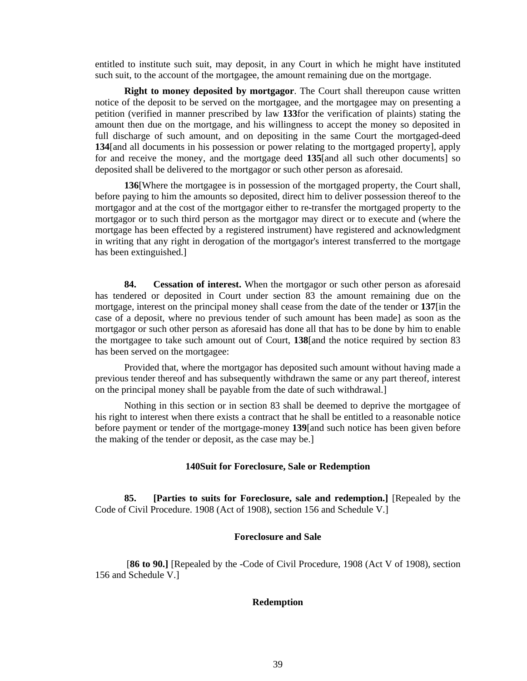entitled to institute such suit, may deposit, in any Court in which he might have instituted such suit, to the account of the mortgagee, the amount remaining due on the mortgage.

**Right to money deposited by mortgagor**. The Court shall thereupon cause written notice of the deposit to be served on the mortgagee, and the mortgagee may on presenting a petition (verified in manner prescribed by law **133**for the verification of plaints) stating the amount then due on the mortgage, and his willingness to accept the money so deposited in full discharge of such amount, and on depositing in the same Court the mortgaged-deed **134**[and all documents in his possession or power relating to the mortgaged property], apply for and receive the money, and the mortgage deed **135**[and all such other documents] so deposited shall be delivered to the mortgagor or such other person as aforesaid.

**136**[Where the mortgagee is in possession of the mortgaged property, the Court shall, before paying to him the amounts so deposited, direct him to deliver possession thereof to the mortgagor and at the cost of the mortgagor either to re-transfer the mortgaged property to the mortgagor or to such third person as the mortgagor may direct or to execute and (where the mortgage has been effected by a registered instrument) have registered and acknowledgment in writing that any right in derogation of the mortgagor's interest transferred to the mortgage has been extinguished.]

**84. Cessation of interest.** When the mortgagor or such other person as aforesaid has tendered or deposited in Court under section 83 the amount remaining due on the mortgage, interest on the principal money shall cease from the date of the tender or **137**[in the case of a deposit, where no previous tender of such amount has been made] as soon as the mortgagor or such other person as aforesaid has done all that has to be done by him to enable the mortgagee to take such amount out of Court, **138**[and the notice required by section 83 has been served on the mortgagee:

Provided that, where the mortgagor has deposited such amount without having made a previous tender thereof and has subsequently withdrawn the same or any part thereof, interest on the principal money shall be payable from the date of such withdrawal.]

 Nothing in this section or in section 83 shall be deemed to deprive the mortgagee of his right to interest when there exists a contract that he shall be entitled to a reasonable notice before payment or tender of the mortgage-money **139**[and such notice has been given before the making of the tender or deposit, as the case may be.]

#### **140Suit for Foreclosure, Sale or Redemption**

**85. [Parties to suits for Foreclosure, sale and redemption.]** [Repealed by the Code of Civil Procedure. 1908 (Act of 1908), section 156 and Schedule V.]

### **Foreclosure and Sale**

 [**86 to 90.]** [Repealed by the -Code of Civil Procedure, 1908 (Act V of 1908), section 156 and Schedule V.]

### **Redemption**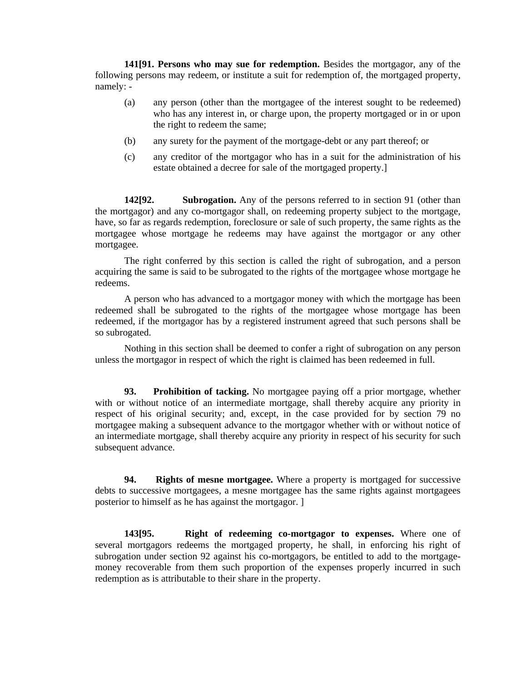**141[91. Persons who may sue for redemption.** Besides the mortgagor, any of the following persons may redeem, or institute a suit for redemption of, the mortgaged property, namely: -

- (a) any person (other than the mortgagee of the interest sought to be redeemed) who has any interest in, or charge upon, the property mortgaged or in or upon the right to redeem the same;
- (b) any surety for the payment of the mortgage-debt or any part thereof; or
- (c) any creditor of the mortgagor who has in a suit for the administration of his estate obtained a decree for sale of the mortgaged property.]

**142[92. Subrogation.** Any of the persons referred to in section 91 (other than the mortgagor) and any co-mortgagor shall, on redeeming property subject to the mortgage, have, so far as regards redemption, foreclosure or sale of such property, the same rights as the mortgagee whose mortgage he redeems may have against the mortgagor or any other mortgagee.

The right conferred by this section is called the right of subrogation, and a person acquiring the same is said to be subrogated to the rights of the mortgagee whose mortgage he redeems.

A person who has advanced to a mortgagor money with which the mortgage has been redeemed shall be subrogated to the rights of the mortgagee whose mortgage has been redeemed, if the mortgagor has by a registered instrument agreed that such persons shall be so subrogated.

Nothing in this section shall be deemed to confer a right of subrogation on any person unless the mortgagor in respect of which the right is claimed has been redeemed in full.

**93. Prohibition of tacking.** No mortgagee paying off a prior mortgage, whether with or without notice of an intermediate mortgage, shall thereby acquire any priority in respect of his original security; and, except, in the case provided for by section 79 no mortgagee making a subsequent advance to the mortgagor whether with or without notice of an intermediate mortgage, shall thereby acquire any priority in respect of his security for such subsequent advance.

**94. Rights of mesne mortgagee.** Where a property is mortgaged for successive debts to successive mortgagees, a mesne mortgagee has the same rights against mortgagees posterior to himself as he has against the mortgagor. ]

**143[95. Right of redeeming co-mortgagor to expenses.** Where one of several mortgagors redeems the mortgaged property, he shall, in enforcing his right of subrogation under section 92 against his co-mortgagors, be entitled to add to the mortgagemoney recoverable from them such proportion of the expenses properly incurred in such redemption as is attributable to their share in the property.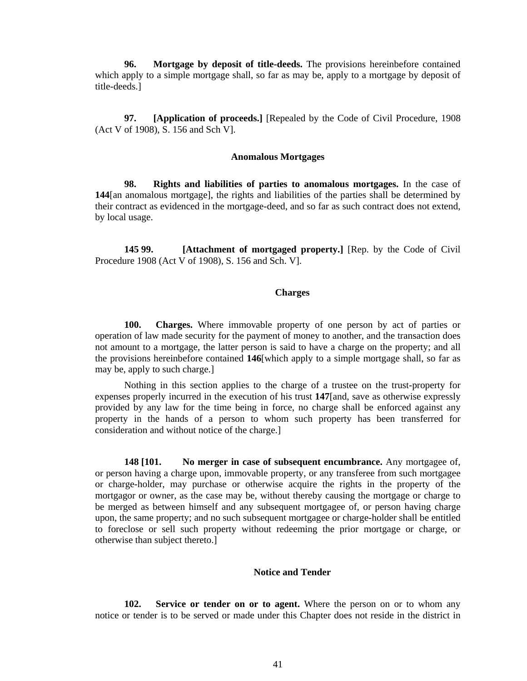**96. Mortgage by deposit of title-deeds.** The provisions hereinbefore contained which apply to a simple mortgage shall, so far as may be, apply to a mortgage by deposit of title-deeds.]

**97. [Application of proceeds.]** [Repealed by the Code of Civil Procedure, 1908 (Act V of 1908), S. 156 and Sch V].

#### **Anomalous Mortgages**

 **98. Rights and liabilities of parties to anomalous mortgages.** In the case of **144**[an anomalous mortgage], the rights and liabilities of the parties shall be determined by their contract as evidenced in the mortgage-deed, and so far as such contract does not extend, by local usage.

**145 99. [Attachment of mortgaged property.]** [Rep. by the Code of Civil Procedure 1908 (Act V of 1908), S. 156 and Sch. V].

#### **Charges**

**100. Charges.** Where immovable property of one person by act of parties or operation of law made security for the payment of money to another, and the transaction does not amount to a mortgage, the latter person is said to have a charge on the property; and all the provisions hereinbefore contained **146**[which apply to a simple mortgage shall, so far as may be, apply to such charge.]

Nothing in this section applies to the charge of a trustee on the trust-property for expenses properly incurred in the execution of his trust **147**[and, save as otherwise expressly provided by any law for the time being in force, no charge shall be enforced against any property in the hands of a person to whom such property has been transferred for consideration and without notice of the charge.]

**148 [101. No merger in case of subsequent encumbrance.** Any mortgagee of, or person having a charge upon, immovable property, or any transferee from such mortgagee or charge-holder, may purchase or otherwise acquire the rights in the property of the mortgagor or owner, as the case may be, without thereby causing the mortgage or charge to be merged as between himself and any subsequent mortgagee of, or person having charge upon, the same property; and no such subsequent mortgagee or charge-holder shall be entitled to foreclose or sell such property without redeeming the prior mortgage or charge, or otherwise than subject thereto.]

## **Notice and Tender**

**102. Service or tender on or to agent.** Where the person on or to whom any notice or tender is to be served or made under this Chapter does not reside in the district in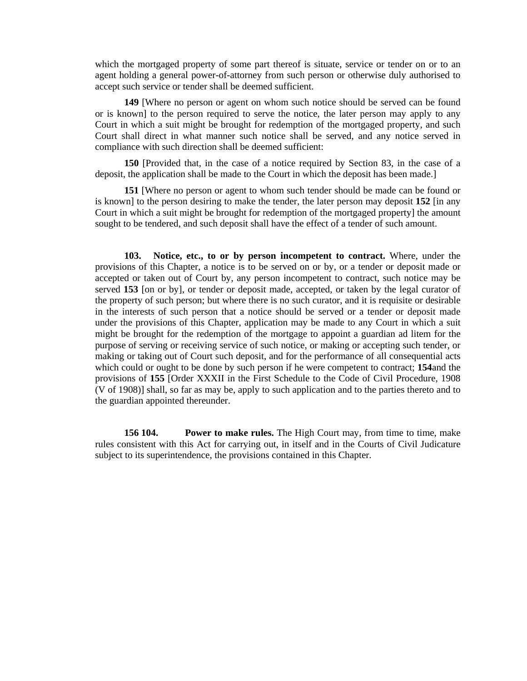which the mortgaged property of some part thereof is situate, service or tender on or to an agent holding a general power-of-attorney from such person or otherwise duly authorised to accept such service or tender shall be deemed sufficient.

**149** [Where no person or agent on whom such notice should be served can be found or is known] to the person required to serve the notice, the later person may apply to any Court in which a suit might be brought for redemption of the mortgaged property, and such Court shall direct in what manner such notice shall be served, and any notice served in compliance with such direction shall be deemed sufficient:

**150** [Provided that, in the case of a notice required by Section 83, in the case of a deposit, the application shall be made to the Court in which the deposit has been made.]

**151** [Where no person or agent to whom such tender should be made can be found or is known] to the person desiring to make the tender, the later person may deposit **152** [in any Court in which a suit might be brought for redemption of the mortgaged property] the amount sought to be tendered, and such deposit shall have the effect of a tender of such amount.

**103. Notice, etc., to or by person incompetent to contract.** Where, under the provisions of this Chapter, a notice is to be served on or by, or a tender or deposit made or accepted or taken out of Court by, any person incompetent to contract, such notice may be served **153** [on or by], or tender or deposit made, accepted, or taken by the legal curator of the property of such person; but where there is no such curator, and it is requisite or desirable in the interests of such person that a notice should be served or a tender or deposit made under the provisions of this Chapter, application may be made to any Court in which a suit might be brought for the redemption of the mortgage to appoint a guardian ad litem for the purpose of serving or receiving service of such notice, or making or accepting such tender, or making or taking out of Court such deposit, and for the performance of all consequential acts which could or ought to be done by such person if he were competent to contract; **154**and the provisions of **155** [Order XXXII in the First Schedule to the Code of Civil Procedure, 1908 (V of 1908)] shall, so far as may be, apply to such application and to the parties thereto and to the guardian appointed thereunder.

**156 104.** Power to make rules. The High Court may, from time to time, make rules consistent with this Act for carrying out, in itself and in the Courts of Civil Judicature subject to its superintendence, the provisions contained in this Chapter.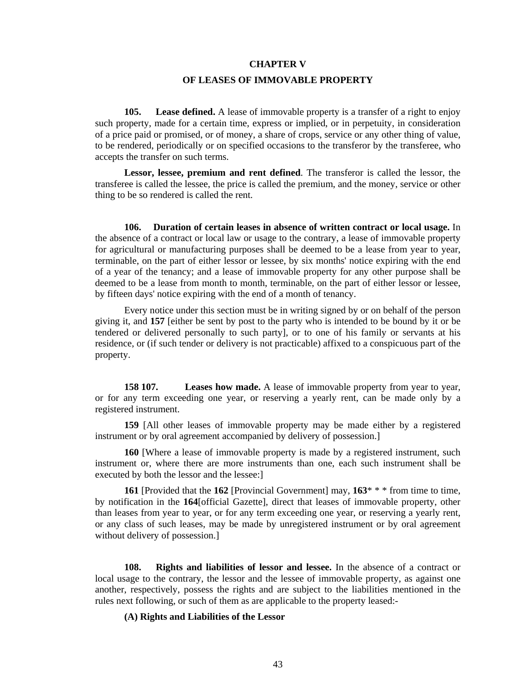#### **CHAPTER V**

## **OF LEASES OF IMMOVABLE PROPERTY**

**105. Lease defined.** A lease of immovable property is a transfer of a right to enjoy such property, made for a certain time, express or implied, or in perpetuity, in consideration of a price paid or promised, or of money, a share of crops, service or any other thing of value, to be rendered, periodically or on specified occasions to the transferor by the transferee, who accepts the transfer on such terms.

**Lessor, lessee, premium and rent defined**. The transferor is called the lessor, the transferee is called the lessee, the price is called the premium, and the money, service or other thing to be so rendered is called the rent.

**106. Duration of certain leases in absence of written contract or local usage.** In the absence of a contract or local law or usage to the contrary, a lease of immovable property for agricultural or manufacturing purposes shall be deemed to be a lease from year to year, terminable, on the part of either lessor or lessee, by six months' notice expiring with the end of a year of the tenancy; and a lease of immovable property for any other purpose shall be deemed to be a lease from month to month, terminable, on the part of either lessor or lessee, by fifteen days' notice expiring with the end of a month of tenancy.

Every notice under this section must be in writing signed by or on behalf of the person giving it, and **157** [either be sent by post to the party who is intended to be bound by it or be tendered or delivered personally to such party], or to one of his family or servants at his residence, or (if such tender or delivery is not practicable) affixed to a conspicuous part of the property.

**158 107.** Leases how made. A lease of immovable property from year to year, or for any term exceeding one year, or reserving a yearly rent, can be made only by a registered instrument.

**159** [All other leases of immovable property may be made either by a registered instrument or by oral agreement accompanied by delivery of possession.]

**160** [Where a lease of immovable property is made by a registered instrument, such instrument or, where there are more instruments than one, each such instrument shall be executed by both the lessor and the lessee:]

**161** [Provided that the **162** [Provincial Government] may, **163**\* \* \* from time to time, by notification in the **164**[official Gazette], direct that leases of immovable property, other than leases from year to year, or for any term exceeding one year, or reserving a yearly rent, or any class of such leases, may be made by unregistered instrument or by oral agreement without delivery of possession.]

**108. Rights and liabilities of lessor and lessee.** In the absence of a contract or local usage to the contrary, the lessor and the lessee of immovable property, as against one another, respectively, possess the rights and are subject to the liabilities mentioned in the rules next following, or such of them as are applicable to the property leased:-

#### **(A) Rights and Liabilities of the Lessor**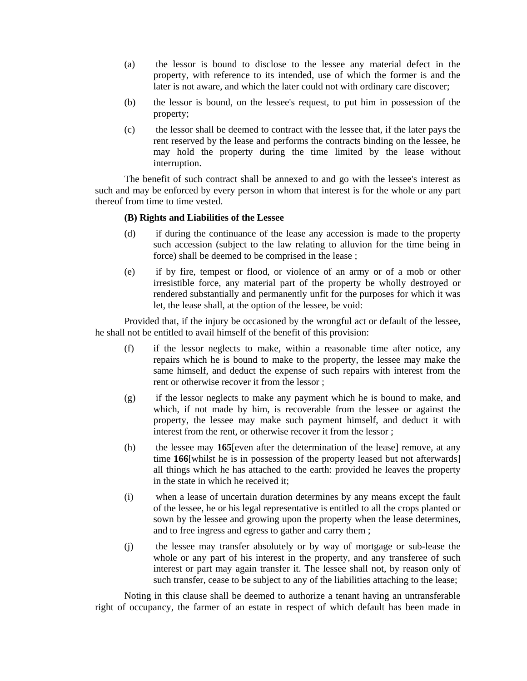- (a) the lessor is bound to disclose to the lessee any material defect in the property, with reference to its intended, use of which the former is and the later is not aware, and which the later could not with ordinary care discover;
- (b) the lessor is bound, on the lessee's request, to put him in possession of the property;
- (c) the lessor shall be deemed to contract with the lessee that, if the later pays the rent reserved by the lease and performs the contracts binding on the lessee, he may hold the property during the time limited by the lease without interruption.

The benefit of such contract shall be annexed to and go with the lessee's interest as such and may be enforced by every person in whom that interest is for the whole or any part thereof from time to time vested.

### **(B) Rights and Liabilities of the Lessee**

- (d) if during the continuance of the lease any accession is made to the property such accession (subject to the law relating to alluvion for the time being in force) shall be deemed to be comprised in the lease ;
- (e) if by fire, tempest or flood, or violence of an army or of a mob or other irresistible force, any material part of the property be wholly destroyed or rendered substantially and permanently unfit for the purposes for which it was let, the lease shall, at the option of the lessee, be void:

Provided that, if the injury be occasioned by the wrongful act or default of the lessee, he shall not be entitled to avail himself of the benefit of this provision:

- (f) if the lessor neglects to make, within a reasonable time after notice, any repairs which he is bound to make to the property, the lessee may make the same himself, and deduct the expense of such repairs with interest from the rent or otherwise recover it from the lessor ;
- (g) if the lessor neglects to make any payment which he is bound to make, and which, if not made by him, is recoverable from the lessee or against the property, the lessee may make such payment himself, and deduct it with interest from the rent, or otherwise recover it from the lessor ;
- (h) the lessee may **165**[even after the determination of the lease] remove, at any time **166**[whilst he is in possession of the property leased but not afterwards] all things which he has attached to the earth: provided he leaves the property in the state in which he received it;
- (i) when a lease of uncertain duration determines by any means except the fault of the lessee, he or his legal representative is entitled to all the crops planted or sown by the lessee and growing upon the property when the lease determines, and to free ingress and egress to gather and carry them ;
- (j) the lessee may transfer absolutely or by way of mortgage or sub-lease the whole or any part of his interest in the property, and any transferee of such interest or part may again transfer it. The lessee shall not, by reason only of such transfer, cease to be subject to any of the liabilities attaching to the lease;

Noting in this clause shall be deemed to authorize a tenant having an untransferable right of occupancy, the farmer of an estate in respect of which default has been made in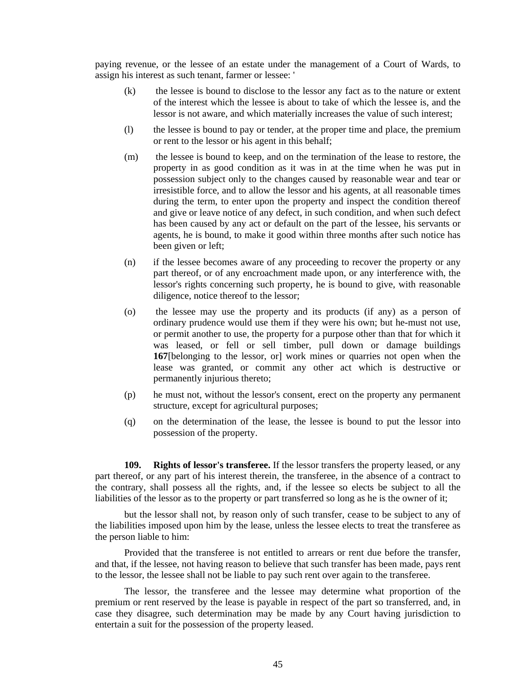paying revenue, or the lessee of an estate under the management of a Court of Wards, to assign his interest as such tenant, farmer or lessee: '

- (k) the lessee is bound to disclose to the lessor any fact as to the nature or extent of the interest which the lessee is about to take of which the lessee is, and the lessor is not aware, and which materially increases the value of such interest;
- (l) the lessee is bound to pay or tender, at the proper time and place, the premium or rent to the lessor or his agent in this behalf;
- (m) the lessee is bound to keep, and on the termination of the lease to restore, the property in as good condition as it was in at the time when he was put in possession subject only to the changes caused by reasonable wear and tear or irresistible force, and to allow the lessor and his agents, at all reasonable times during the term, to enter upon the property and inspect the condition thereof and give or leave notice of any defect, in such condition, and when such defect has been caused by any act or default on the part of the lessee, his servants or agents, he is bound, to make it good within three months after such notice has been given or left;
- (n) if the lessee becomes aware of any proceeding to recover the property or any part thereof, or of any encroachment made upon, or any interference with, the lessor's rights concerning such property, he is bound to give, with reasonable diligence, notice thereof to the lessor;
- (o) the lessee may use the property and its products (if any) as a person of ordinary prudence would use them if they were his own; but he-must not use, or permit another to use, the property for a purpose other than that for which it was leased, or fell or sell timber, pull down or damage buildings **167**[belonging to the lessor, or] work mines or quarries not open when the lease was granted, or commit any other act which is destructive or permanently injurious thereto;
- (p) he must not, without the lessor's consent, erect on the property any permanent structure, except for agricultural purposes;
- (q) on the determination of the lease, the lessee is bound to put the lessor into possession of the property.

**109. Rights of lessor's transferee.** If the lessor transfers the property leased, or any part thereof, or any part of his interest therein, the transferee, in the absence of a contract to the contrary, shall possess all the rights, and, if the lessee so elects be subject to all the liabilities of the lessor as to the property or part transferred so long as he is the owner of it;

but the lessor shall not, by reason only of such transfer, cease to be subject to any of the liabilities imposed upon him by the lease, unless the lessee elects to treat the transferee as the person liable to him:

Provided that the transferee is not entitled to arrears or rent due before the transfer, and that, if the lessee, not having reason to believe that such transfer has been made, pays rent to the lessor, the lessee shall not be liable to pay such rent over again to the transferee.

The lessor, the transferee and the lessee may determine what proportion of the premium or rent reserved by the lease is payable in respect of the part so transferred, and, in case they disagree, such determination may be made by any Court having jurisdiction to entertain a suit for the possession of the property leased.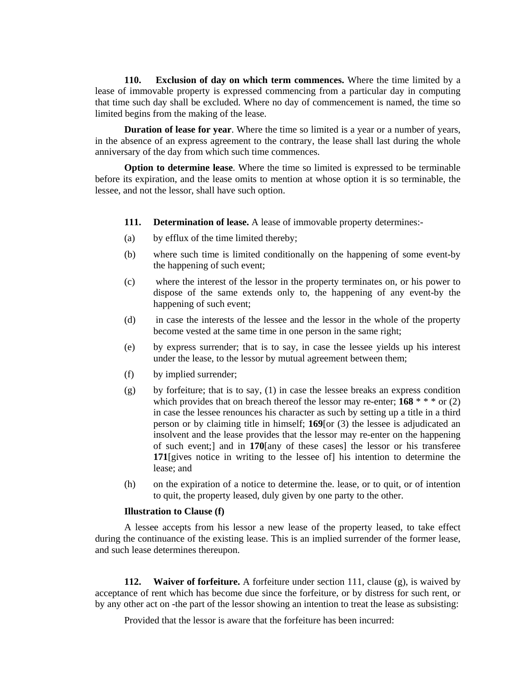**110. Exclusion of day on which term commences.** Where the time limited by a lease of immovable property is expressed commencing from a particular day in computing that time such day shall be excluded. Where no day of commencement is named, the time so limited begins from the making of the lease.

**Duration of lease for year**. Where the time so limited is a year or a number of years, in the absence of an express agreement to the contrary, the lease shall last during the whole anniversary of the day from which such time commences.

**Option to determine lease**. Where the time so limited is expressed to be terminable before its expiration, and the lease omits to mention at whose option it is so terminable, the lessee, and not the lessor, shall have such option.

- **111. Determination of lease.** A lease of immovable property determines:-
- (a) by efflux of the time limited thereby;
- (b) where such time is limited conditionally on the happening of some event-by the happening of such event;
- (c) where the interest of the lessor in the property terminates on, or his power to dispose of the same extends only to, the happening of any event-by the happening of such event;
- (d) in case the interests of the lessee and the lessor in the whole of the property become vested at the same time in one person in the same right;
- (e) by express surrender; that is to say, in case the lessee yields up his interest under the lease, to the lessor by mutual agreement between them;
- (f) by implied surrender;
- $(g)$  by forfeiture; that is to say, (1) in case the lessee breaks an express condition which provides that on breach thereof the lessor may re-enter;  $168$  \* \* \* or (2) in case the lessee renounces his character as such by setting up a title in a third person or by claiming title in himself; **169**[or (3) the lessee is adjudicated an insolvent and the lease provides that the lessor may re-enter on the happening of such event;] and in **170**[any of these cases] the lessor or his transferee **171**[gives notice in writing to the lessee of] his intention to determine the lease; and
- (h) on the expiration of a notice to determine the. lease, or to quit, or of intention to quit, the property leased, duly given by one party to the other.

#### **Illustration to Clause (f)**

A lessee accepts from his lessor a new lease of the property leased, to take effect during the continuance of the existing lease. This is an implied surrender of the former lease, and such lease determines thereupon.

**112. Waiver of forfeiture.** A forfeiture under section 111, clause (g), is waived by acceptance of rent which has become due since the forfeiture, or by distress for such rent, or by any other act on -the part of the lessor showing an intention to treat the lease as subsisting:

Provided that the lessor is aware that the forfeiture has been incurred: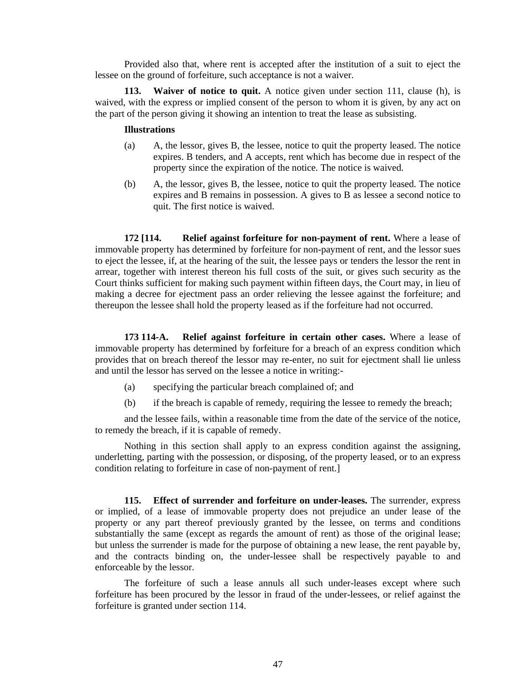Provided also that, where rent is accepted after the institution of a suit to eject the lessee on the ground of forfeiture, such acceptance is not a waiver.

**113.** Waiver of notice to quit. A notice given under section 111, clause (h), is waived, with the express or implied consent of the person to whom it is given, by any act on the part of the person giving it showing an intention to treat the lease as subsisting.

#### **Illustrations**

- (a) A, the lessor, gives B, the lessee, notice to quit the property leased. The notice expires. B tenders, and A accepts, rent which has become due in respect of the property since the expiration of the notice. The notice is waived.
- (b) A, the lessor, gives B, the lessee, notice to quit the property leased. The notice expires and B remains in possession. A gives to B as lessee a second notice to quit. The first notice is waived.

**172 [114. Relief against forfeiture for non-payment of rent.** Where a lease of immovable property has determined by forfeiture for non-payment of rent, and the lessor sues to eject the lessee, if, at the hearing of the suit, the lessee pays or tenders the lessor the rent in arrear, together with interest thereon his full costs of the suit, or gives such security as the Court thinks sufficient for making such payment within fifteen days, the Court may, in lieu of making a decree for ejectment pass an order relieving the lessee against the forfeiture; and thereupon the lessee shall hold the property leased as if the forfeiture had not occurred.

**173 114-A. Relief against forfeiture in certain other cases.** Where a lease of immovable property has determined by forfeiture for a breach of an express condition which provides that on breach thereof the lessor may re-enter, no suit for ejectment shall lie unless and until the lessor has served on the lessee a notice in writing:-

- (a) specifying the particular breach complained of; and
- (b) if the breach is capable of remedy, requiring the lessee to remedy the breach;

and the lessee fails, within a reasonable time from the date of the service of the notice, to remedy the breach, if it is capable of remedy.

Nothing in this section shall apply to an express condition against the assigning, underletting, parting with the possession, or disposing, of the property leased, or to an express condition relating to forfeiture in case of non-payment of rent.]

**115. Effect of surrender and forfeiture on under-leases.** The surrender, express or implied, of a lease of immovable property does not prejudice an under lease of the property or any part thereof previously granted by the lessee, on terms and conditions substantially the same (except as regards the amount of rent) as those of the original lease; but unless the surrender is made for the purpose of obtaining a new lease, the rent payable by, and the contracts binding on, the under-lessee shall be respectively payable to and enforceable by the lessor.

The forfeiture of such a lease annuls all such under-leases except where such forfeiture has been procured by the lessor in fraud of the under-lessees, or relief against the forfeiture is granted under section 114.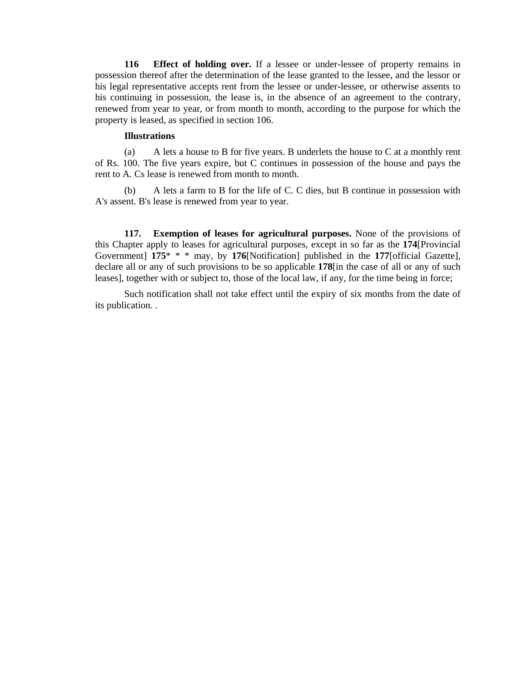**116 Effect of holding over.** If a lessee or under-lessee of property remains in possession thereof after the determination of the lease granted to the lessee, and the lessor or his legal representative accepts rent from the lessee or under-lessee, or otherwise assents to his continuing in possession, the lease is, in the absence of an agreement to the contrary, renewed from year to year, or from month to month, according to the purpose for which the property is leased, as specified in section 106.

#### **Illustrations**

(a) A lets a house to B for five years. B underlets the house to C at a monthly rent of Rs. 100. The five years expire, but C continues in possession of the house and pays the rent to A. Cs lease is renewed from month to month.

(b) A lets a farm to B for the life of C. C dies, but B continue in possession with A's assent. B's lease is renewed from year to year.

**117. Exemption of leases for agricultural purposes.** None of the provisions of this Chapter apply to leases for agricultural purposes, except in so far as the **174**[Provincial Government] **175**\* \* \* may, by **176**[Notification] published in the **177**[official Gazette], declare all or any of such provisions to be so applicable **178**[in the case of all or any of such leases], together with or subject to, those of the local law, if any, for the time being in force;

Such notification shall not take effect until the expiry of six months from the date of its publication. .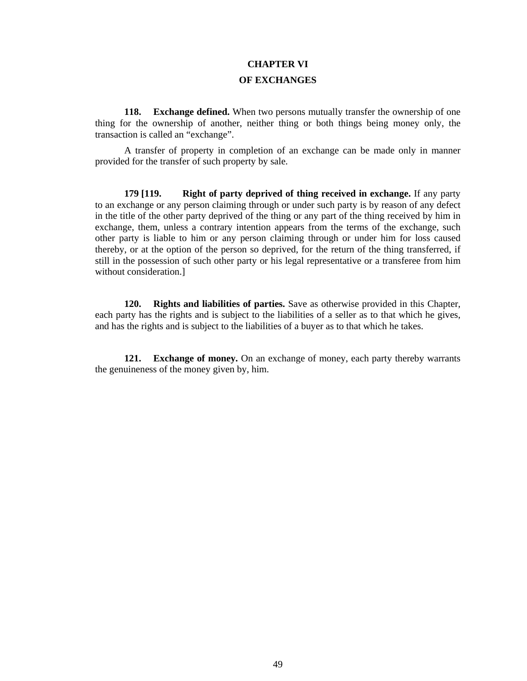#### **CHAPTER VI**

### **OF EXCHANGES**

**118. Exchange defined.** When two persons mutually transfer the ownership of one thing for the ownership of another, neither thing or both things being money only, the transaction is called an "exchange".

A transfer of property in completion of an exchange can be made only in manner provided for the transfer of such property by sale.

**179 [119. Right of party deprived of thing received in exchange.** If any party to an exchange or any person claiming through or under such party is by reason of any defect in the title of the other party deprived of the thing or any part of the thing received by him in exchange, them, unless a contrary intention appears from the terms of the exchange, such other party is liable to him or any person claiming through or under him for loss caused thereby, or at the option of the person so deprived, for the return of the thing transferred, if still in the possession of such other party or his legal representative or a transferee from him without consideration.]

**120. Rights and liabilities of parties.** Save as otherwise provided in this Chapter, each party has the rights and is subject to the liabilities of a seller as to that which he gives, and has the rights and is subject to the liabilities of a buyer as to that which he takes.

**121. Exchange of money.** On an exchange of money, each party thereby warrants the genuineness of the money given by, him.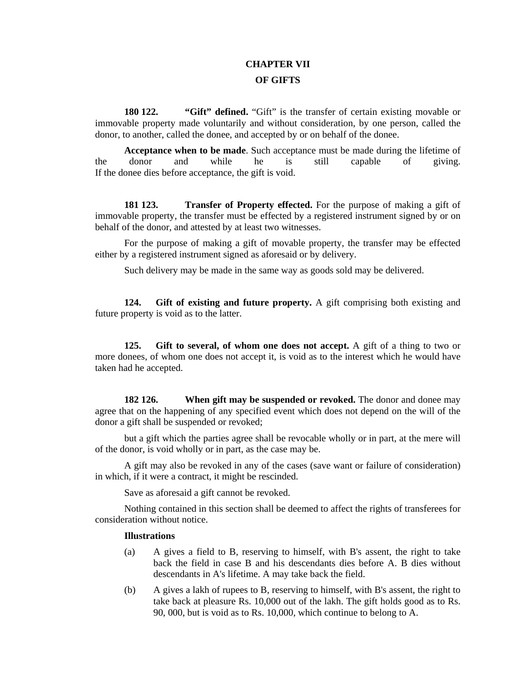# **CHAPTER VII OF GIFTS**

**180 122. "Gift" defined.** "Gift" is the transfer of certain existing movable or immovable property made voluntarily and without consideration, by one person, called the donor, to another, called the donee, and accepted by or on behalf of the donee.

**Acceptance when to be made**. Such acceptance must be made during the lifetime of the donor and while he is still capable of giving. If the donee dies before acceptance, the gift is void.

**181 123. Transfer of Property effected.** For the purpose of making a gift of immovable property, the transfer must be effected by a registered instrument signed by or on behalf of the donor, and attested by at least two witnesses.

For the purpose of making a gift of movable property, the transfer may be effected either by a registered instrument signed as aforesaid or by delivery.

Such delivery may be made in the same way as goods sold may be delivered.

**124. Gift of existing and future property.** A gift comprising both existing and future property is void as to the latter.

**125. Gift to several, of whom one does not accept.** A gift of a thing to two or more donees, of whom one does not accept it, is void as to the interest which he would have taken had he accepted.

**182 126. When gift may be suspended or revoked.** The donor and donee may agree that on the happening of any specified event which does not depend on the will of the donor a gift shall be suspended or revoked;

but a gift which the parties agree shall be revocable wholly or in part, at the mere will of the donor, is void wholly or in part, as the case may be.

A gift may also be revoked in any of the cases (save want or failure of consideration) in which, if it were a contract, it might be rescinded.

Save as aforesaid a gift cannot be revoked.

Nothing contained in this section shall be deemed to affect the rights of transferees for consideration without notice.

#### **Illustrations**

- (a) A gives a field to B, reserving to himself, with B's assent, the right to take back the field in case B and his descendants dies before A. B dies without descendants in A's lifetime. A may take back the field.
- (b) A gives a lakh of rupees to B, reserving to himself, with B's assent, the right to take back at pleasure Rs. 10,000 out of the lakh. The gift holds good as to Rs. 90, 000, but is void as to Rs. 10,000, which continue to belong to A.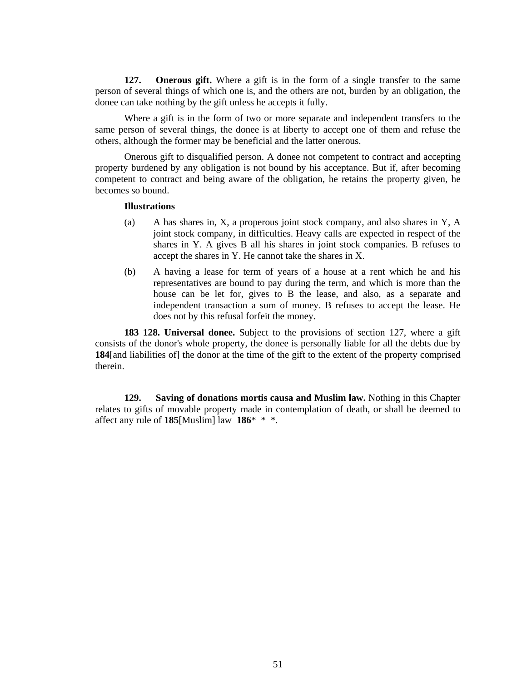**127. Onerous gift.** Where a gift is in the form of a single transfer to the same person of several things of which one is, and the others are not, burden by an obligation, the donee can take nothing by the gift unless he accepts it fully.

Where a gift is in the form of two or more separate and independent transfers to the same person of several things, the donee is at liberty to accept one of them and refuse the others, although the former may be beneficial and the latter onerous.

Onerous gift to disqualified person. A donee not competent to contract and accepting property burdened by any obligation is not bound by his acceptance. But if, after becoming competent to contract and being aware of the obligation, he retains the property given, he becomes so bound.

#### **Illustrations**

- (a) A has shares in, X, a properous joint stock company, and also shares in Y, A joint stock company, in difficulties. Heavy calls are expected in respect of the shares in Y. A gives B all his shares in joint stock companies. B refuses to accept the shares in Y. He cannot take the shares in X.
- (b) A having a lease for term of years of a house at a rent which he and his representatives are bound to pay during the term, and which is more than the house can be let for, gives to B the lease, and also, as a separate and independent transaction a sum of money. B refuses to accept the lease. He does not by this refusal forfeit the money.

**183 128. Universal donee.** Subject to the provisions of section 127, where a gift consists of the donor's whole property, the donee is personally liable for all the debts due by **184**[and liabilities of] the donor at the time of the gift to the extent of the property comprised therein.

**129. Saving of donations mortis causa and Muslim law.** Nothing in this Chapter relates to gifts of movable property made in contemplation of death, or shall be deemed to affect any rule of **185**[Muslim] law **186**\* \* \*.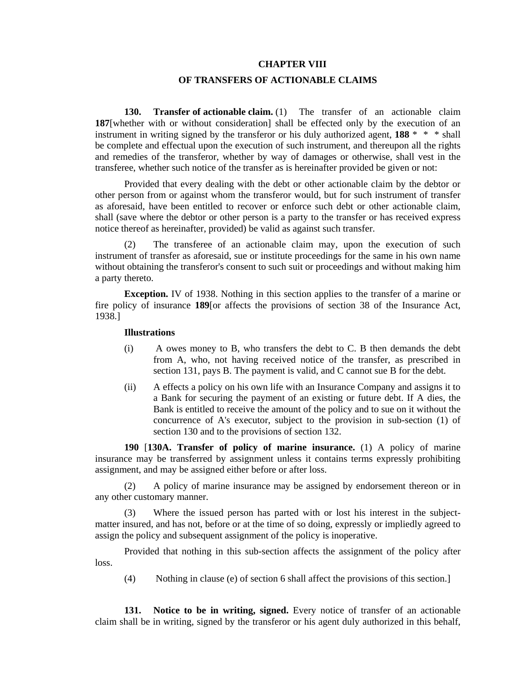#### **CHAPTER VIII**

## **OF TRANSFERS OF ACTIONABLE CLAIMS**

**130. Transfer of actionable claim.** (1) The transfer of an actionable claim **187**[whether with or without consideration] shall be effected only by the execution of an instrument in writing signed by the transferor or his duly authorized agent, **188** \* \* \* shall be complete and effectual upon the execution of such instrument, and thereupon all the rights and remedies of the transferor, whether by way of damages or otherwise, shall vest in the transferee, whether such notice of the transfer as is hereinafter provided be given or not:

Provided that every dealing with the debt or other actionable claim by the debtor or other person from or against whom the transferor would, but for such instrument of transfer as aforesaid, have been entitled to recover or enforce such debt or other actionable claim, shall (save where the debtor or other person is a party to the transfer or has received express notice thereof as hereinafter, provided) be valid as against such transfer.

(2) The transferee of an actionable claim may, upon the execution of such instrument of transfer as aforesaid, sue or institute proceedings for the same in his own name without obtaining the transferor's consent to such suit or proceedings and without making him a party thereto.

**Exception.** IV of 1938. Nothing in this section applies to the transfer of a marine or fire policy of insurance **189**[or affects the provisions of section 38 of the Insurance Act, 1938.]

### **Illustrations**

- (i) A owes money to B, who transfers the debt to C. B then demands the debt from A, who, not having received notice of the transfer, as prescribed in section 131, pays B. The payment is valid, and C cannot sue B for the debt.
- (ii) A effects a policy on his own life with an Insurance Company and assigns it to a Bank for securing the payment of an existing or future debt. If A dies, the Bank is entitled to receive the amount of the policy and to sue on it without the concurrence of A's executor, subject to the provision in sub-section (1) of section 130 and to the provisions of section 132.

**190** [**130A. Transfer of policy of marine insurance.** (1) A policy of marine insurance may be transferred by assignment unless it contains terms expressly prohibiting assignment, and may be assigned either before or after loss.

(2) A policy of marine insurance may be assigned by endorsement thereon or in any other customary manner.

(3) Where the issued person has parted with or lost his interest in the subjectmatter insured, and has not, before or at the time of so doing, expressly or impliedly agreed to assign the policy and subsequent assignment of the policy is inoperative.

Provided that nothing in this sub-section affects the assignment of the policy after loss.

(4) Nothing in clause (e) of section 6 shall affect the provisions of this section.]

**131. Notice to be in writing, signed.** Every notice of transfer of an actionable claim shall be in writing, signed by the transferor or his agent duly authorized in this behalf,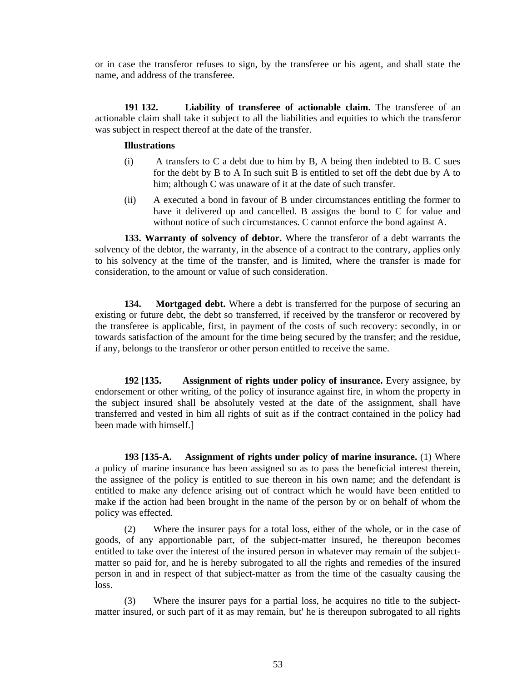or in case the transferor refuses to sign, by the transferee or his agent, and shall state the name, and address of the transferee.

**191 132. Liability of transferee of actionable claim.** The transferee of an actionable claim shall take it subject to all the liabilities and equities to which the transferor was subject in respect thereof at the date of the transfer.

#### **Illustrations**

- (i) A transfers to C a debt due to him by B, A being then indebted to B. C sues for the debt by B to A In such suit B is entitled to set off the debt due by A to him; although C was unaware of it at the date of such transfer.
- (ii) A executed a bond in favour of B under circumstances entitling the former to have it delivered up and cancelled. B assigns the bond to C for value and without notice of such circumstances. C cannot enforce the bond against A.

**133. Warranty of solvency of debtor.** Where the transferor of a debt warrants the solvency of the debtor, the warranty, in the absence of a contract to the contrary, applies only to his solvency at the time of the transfer, and is limited, where the transfer is made for consideration, to the amount or value of such consideration.

**134. Mortgaged debt.** Where a debt is transferred for the purpose of securing an existing or future debt, the debt so transferred, if received by the transferor or recovered by the transferee is applicable, first, in payment of the costs of such recovery: secondly, in or towards satisfaction of the amount for the time being secured by the transfer; and the residue, if any, belongs to the transferor or other person entitled to receive the same.

**192 [135. Assignment of rights under policy of insurance.** Every assignee, by endorsement or other writing, of the policy of insurance against fire, in whom the property in the subject insured shall be absolutely vested at the date of the assignment, shall have transferred and vested in him all rights of suit as if the contract contained in the policy had been made with himself.]

**193 [135-A. Assignment of rights under policy of marine insurance.** (1) Where a policy of marine insurance has been assigned so as to pass the beneficial interest therein, the assignee of the policy is entitled to sue thereon in his own name; and the defendant is entitled to make any defence arising out of contract which he would have been entitled to make if the action had been brought in the name of the person by or on behalf of whom the policy was effected.

(2) Where the insurer pays for a total loss, either of the whole, or in the case of goods, of any apportionable part, of the subject-matter insured, he thereupon becomes entitled to take over the interest of the insured person in whatever may remain of the subjectmatter so paid for, and he is hereby subrogated to all the rights and remedies of the insured person in and in respect of that subject-matter as from the time of the casualty causing the loss.

(3) Where the insurer pays for a partial loss, he acquires no title to the subjectmatter insured, or such part of it as may remain, but' he is thereupon subrogated to all rights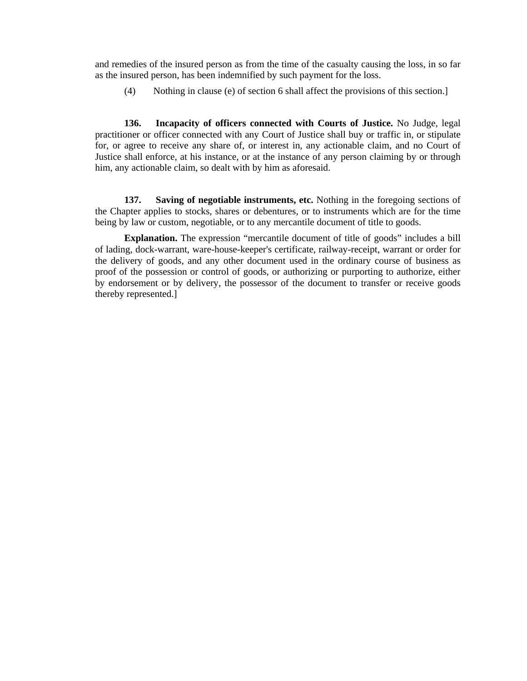and remedies of the insured person as from the time of the casualty causing the loss, in so far as the insured person, has been indemnified by such payment for the loss.

(4) Nothing in clause (e) of section 6 shall affect the provisions of this section.]

**136. Incapacity of officers connected with Courts of Justice.** No Judge, legal practitioner or officer connected with any Court of Justice shall buy or traffic in, or stipulate for, or agree to receive any share of, or interest in, any actionable claim, and no Court of Justice shall enforce, at his instance, or at the instance of any person claiming by or through him, any actionable claim, so dealt with by him as aforesaid.

**137. Saving of negotiable instruments, etc.** Nothing in the foregoing sections of the Chapter applies to stocks, shares or debentures, or to instruments which are for the time being by law or custom, negotiable, or to any mercantile document of title to goods.

**Explanation.** The expression "mercantile document of title of goods" includes a bill of lading, dock-warrant, ware-house-keeper's certificate, railway-receipt, warrant or order for the delivery of goods, and any other document used in the ordinary course of business as proof of the possession or control of goods, or authorizing or purporting to authorize, either by endorsement or by delivery, the possessor of the document to transfer or receive goods thereby represented.]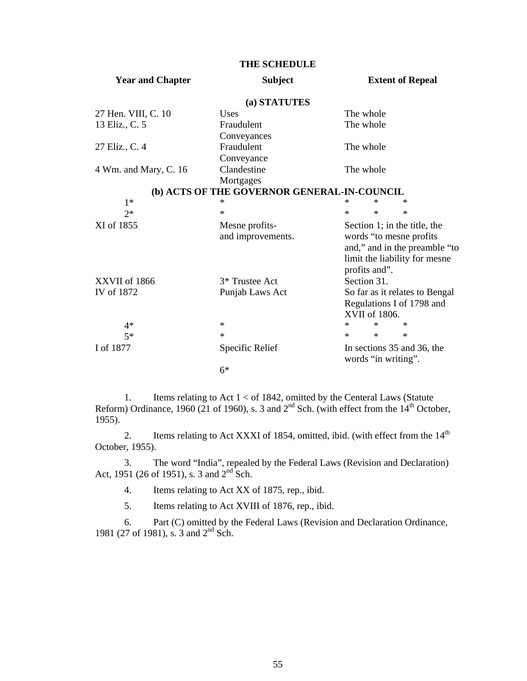|                         | <b>THE SCHEDULE</b>                         |                                                          |
|-------------------------|---------------------------------------------|----------------------------------------------------------|
| <b>Year and Chapter</b> | <b>Subject</b>                              | <b>Extent of Repeal</b>                                  |
|                         | (a) STATUTES                                |                                                          |
| 27 Hen. VIII, C. 10     | Uses                                        | The whole                                                |
| 13 Eliz., C. 5          | Fraudulent                                  | The whole                                                |
|                         | Conveyances                                 |                                                          |
| 27 Eliz., C. 4          | Fraudulent                                  | The whole                                                |
|                         | Conveyance                                  |                                                          |
| 4 Wm. and Mary, C. 16   | Clandestine                                 | The whole                                                |
|                         | Mortgages                                   |                                                          |
|                         | (b) ACTS OF THE GOVERNOR GENERAL-IN-COUNCIL |                                                          |
| $1*$                    | *                                           | *<br>*<br>*                                              |
| $2*$                    | $\ast$                                      | $\ast$<br>$\ast$<br>$\ast$                               |
| XI of 1855              | Mesne profits-                              | Section 1; in the title, the                             |
|                         | and improvements.                           | words "to mesne profits<br>and," and in the preamble "to |
|                         |                                             | limit the liability for mesne                            |
|                         |                                             | profits and".                                            |
| XXVII of 1866           | 3* Trustee Act                              | Section 31.                                              |
| IV of 1872              | Punjab Laws Act                             | So far as it relates to Bengal                           |
|                         |                                             | Regulations I of 1798 and                                |
|                         |                                             | XVII of 1806.                                            |
| $4*$                    | ∗                                           | $\ast$<br>$\ast$<br>$\ast$                               |
| $5*$                    | *                                           | $\ast$<br>$\ast$<br>$\ast$                               |
| I of 1877               | Specific Relief                             | In sections 35 and 36, the<br>words "in writing".        |
|                         | $6*$                                        |                                                          |

1. Items relating to Act 1 < of 1842, omitted by the Centeral Laws (Statute Reform) Ordinance, 1960 (21 of 1960), s. 3 and  $2<sup>nd</sup>$  Sch. (with effect from the  $14<sup>th</sup>$  October, 1955).

2. Items relating to Act XXXI of 1854, omitted, ibid. (with effect from the 14<sup>th</sup> October, 1955).

3. The word "India", repealed by the Federal Laws (Revision and Declaration) Act, 1951 (26 of 1951), s. 3 and  $2<sup>nd</sup>$  Sch.

4. Items relating to Act XX of 1875, rep., ibid.

5. Items relating to Act XVIII of 1876, rep., ibid.

6. Part (C) omitted by the Federal Laws (Revision and Declaration Ordinance, 1981 (27 of 1981), s. 3 and 2<sup>nd</sup> Sch.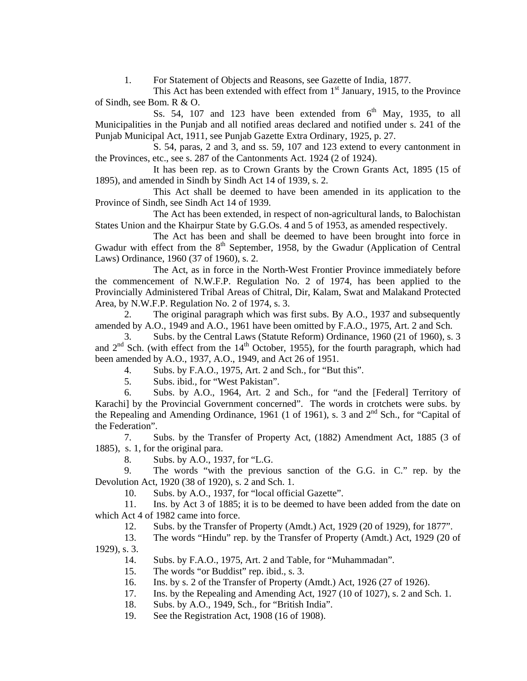1. For Statement of Objects and Reasons, see Gazette of India, 1877.

This Act has been extended with effect from  $1<sup>st</sup>$  January, 1915, to the Province of Sindh, see Bom. R & O.

Ss. 54, 107 and 123 have been extended from  $6<sup>th</sup>$  May, 1935, to all Municipalities in the Punjab and all notified areas declared and notified under s. 241 of the Punjab Municipal Act, 1911, see Punjab Gazette Extra Ordinary, 1925, p. 27.

 S. 54, paras, 2 and 3, and ss. 59, 107 and 123 extend to every cantonment in the Provinces, etc., see s. 287 of the Cantonments Act. 1924 (2 of 1924).

 It has been rep. as to Crown Grants by the Crown Grants Act, 1895 (15 of 1895), and amended in Sindh by Sindh Act 14 of 1939, s. 2.

 This Act shall be deemed to have been amended in its application to the Province of Sindh, see Sindh Act 14 of 1939.

 The Act has been extended, in respect of non-agricultural lands, to Balochistan States Union and the Khairpur State by G.G.Os. 4 and 5 of 1953, as amended respectively.

 The Act has been and shall be deemed to have been brought into force in Gwadur with effect from the  $8<sup>th</sup>$  September, 1958, by the Gwadur (Application of Central Laws) Ordinance, 1960 (37 of 1960), s. 2.

 The Act, as in force in the North-West Frontier Province immediately before the commencement of N.W.F.P. Regulation No. 2 of 1974, has been applied to the Provincially Administered Tribal Areas of Chitral, Dir, Kalam, Swat and Malakand Protected Area, by N.W.F.P. Regulation No. 2 of 1974, s. 3.

2. The original paragraph which was first subs. By A.O., 1937 and subsequently amended by A.O., 1949 and A.O., 1961 have been omitted by F.A.O., 1975, Art. 2 and Sch.

3. Subs. by the Central Laws (Statute Reform) Ordinance, 1960 (21 of 1960), s. 3 and  $2<sup>nd</sup>$  Sch. (with effect from the  $14<sup>th</sup>$  October, 1955), for the fourth paragraph, which had been amended by A.O., 1937, A.O., 1949, and Act 26 of 1951.

4. Subs. by F.A.O., 1975, Art. 2 and Sch., for "But this".

5. Subs. ibid., for "West Pakistan".

6. Subs. by A.O., 1964, Art. 2 and Sch., for "and the [Federal] Territory of Karachi] by the Provincial Government concerned". The words in crotchets were subs. by the Repealing and Amending Ordinance, 1961 (1 of 1961), s. 3 and  $2<sup>nd</sup>$  Sch., for "Capital of the Federation".

7. Subs. by the Transfer of Property Act, (1882) Amendment Act, 1885 (3 of 1885), s. 1, for the original para.

8. Subs. by A.O., 1937, for "L.G.

9. The words "with the previous sanction of the G.G. in C." rep. by the Devolution Act, 1920 (38 of 1920), s. 2 and Sch. 1.

10. Subs. by A.O., 1937, for "local official Gazette".

11. Ins. by Act 3 of 1885; it is to be deemed to have been added from the date on which Act 4 of 1982 came into force.

12. Subs. by the Transfer of Property (Amdt.) Act, 1929 (20 of 1929), for 1877".

13. The words "Hindu" rep. by the Transfer of Property (Amdt.) Act, 1929 (20 of 1929), s. 3.

14. Subs. by F.A.O., 1975, Art. 2 and Table, for "Muhammadan".

15. The words "or Buddist" rep. ibid., s. 3.

16. Ins. by s. 2 of the Transfer of Property (Amdt.) Act, 1926 (27 of 1926).

17. Ins. by the Repealing and Amending Act, 1927 (10 of 1027), s. 2 and Sch. 1.

18. Subs. by A.O., 1949, Sch., for "British India".

19. See the Registration Act, 1908 (16 of 1908).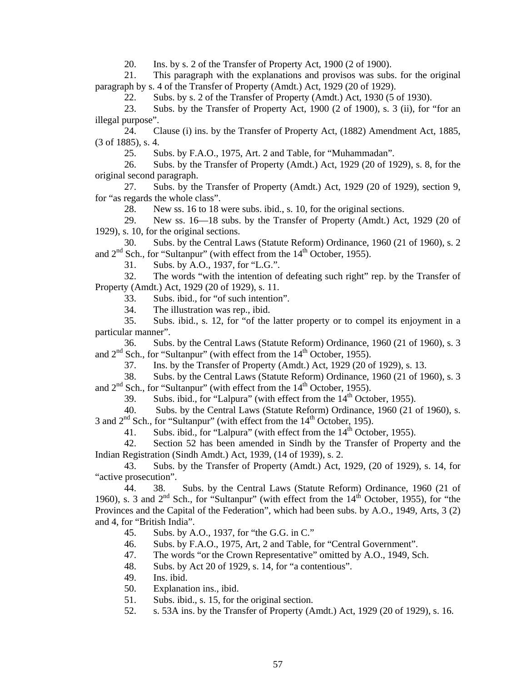20. Ins. by s. 2 of the Transfer of Property Act, 1900 (2 of 1900).

21. This paragraph with the explanations and provisos was subs. for the original paragraph by s. 4 of the Transfer of Property (Amdt.) Act, 1929 (20 of 1929).

22. Subs. by s. 2 of the Transfer of Property (Amdt.) Act, 1930 (5 of 1930).

23. Subs. by the Transfer of Property Act, 1900 (2 of 1900), s. 3 (ii), for "for an illegal purpose".

24. Clause (i) ins. by the Transfer of Property Act, (1882) Amendment Act, 1885, (3 of 1885), s. 4.

25. Subs. by F.A.O., 1975, Art. 2 and Table, for "Muhammadan".

26. Subs. by the Transfer of Property (Amdt.) Act, 1929 (20 of 1929), s. 8, for the original second paragraph.

27. Subs. by the Transfer of Property (Amdt.) Act, 1929 (20 of 1929), section 9, for "as regards the whole class".

28. New ss. 16 to 18 were subs. ibid., s. 10, for the original sections.

29. New ss. 16—18 subs. by the Transfer of Property (Amdt.) Act, 1929 (20 of 1929), s. 10, for the original sections.

30. Subs. by the Central Laws (Statute Reform) Ordinance, 1960 (21 of 1960), s. 2 and  $2<sup>nd</sup>$  Sch., for "Sultanpur" (with effect from the  $14<sup>th</sup>$  October, 1955).

31. Subs. by A.O., 1937, for "L.G.".

32. The words "with the intention of defeating such right" rep. by the Transfer of Property (Amdt.) Act, 1929 (20 of 1929), s. 11.

33. Subs. ibid., for "of such intention".

34. The illustration was rep., ibid.

35. Subs. ibid., s. 12, for "of the latter property or to compel its enjoyment in a particular manner".

36. Subs. by the Central Laws (Statute Reform) Ordinance, 1960 (21 of 1960), s. 3 and  $2<sup>nd</sup>$  Sch., for "Sultanpur" (with effect from the  $14<sup>th</sup>$  October, 1955).

37. Ins. by the Transfer of Property (Amdt.) Act, 1929 (20 of 1929), s. 13.

38. Subs. by the Central Laws (Statute Reform) Ordinance, 1960 (21 of 1960), s. 3

and  $2<sup>nd</sup>$  Sch., for "Sultanpur" (with effect from the  $14<sup>th</sup>$  October, 1955).

39. Subs. ibid., for "Lalpura" (with effect from the  $14<sup>th</sup>$  October, 1955).

40. Subs. by the Central Laws (Statute Reform) Ordinance, 1960 (21 of 1960), s. 3 and  $2<sup>nd</sup>$  Sch., for "Sultanpur" (with effect from the  $14<sup>th</sup>$  October, 195).

41. Subs. ibid., for "Lalpura" (with effect from the 14<sup>th</sup> October, 1955).

42. Section 52 has been amended in Sindh by the Transfer of Property and the Indian Registration (Sindh Amdt.) Act, 1939, (14 of 1939), s. 2.

43. Subs. by the Transfer of Property (Amdt.) Act, 1929, (20 of 1929), s. 14, for "active prosecution".

44. 38. Subs. by the Central Laws (Statute Reform) Ordinance, 1960 (21 of 1960), s. 3 and  $2<sup>nd</sup>$  Sch., for "Sultanpur" (with effect from the  $14<sup>th</sup>$  October, 1955), for "the Provinces and the Capital of the Federation", which had been subs. by A.O., 1949, Arts, 3 (2) and 4, for "British India".

45. Subs. by A.O., 1937, for "the G.G. in C."

46. Subs. by F.A.O., 1975, Art, 2 and Table, for "Central Government".

47. The words "or the Crown Representative" omitted by A.O., 1949, Sch.

48. Subs. by Act 20 of 1929, s. 14, for "a contentious".

49. Ins. ibid.

50. Explanation ins., ibid.

51. Subs. ibid., s. 15, for the original section.

52. s. 53A ins. by the Transfer of Property (Amdt.) Act, 1929 (20 of 1929), s. 16.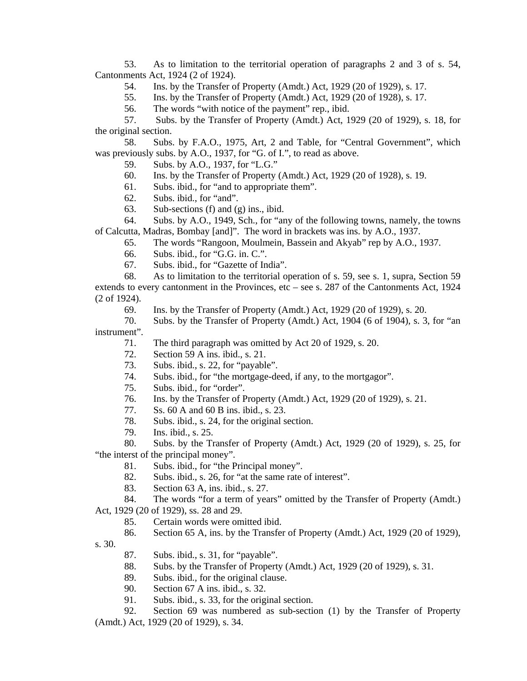53. As to limitation to the territorial operation of paragraphs 2 and 3 of s. 54, Cantonments Act, 1924 (2 of 1924).

54. Ins. by the Transfer of Property (Amdt.) Act, 1929 (20 of 1929), s. 17.

55. Ins. by the Transfer of Property (Amdt.) Act, 1929 (20 of 1928), s. 17.

56. The words "with notice of the payment" rep., ibid.

57. Subs. by the Transfer of Property (Amdt.) Act, 1929 (20 of 1929), s. 18, for the original section.

58. Subs. by F.A.O., 1975, Art, 2 and Table, for "Central Government", which was previously subs. by A.O., 1937, for "G. of I.", to read as above.

59. Subs. by A.O., 1937, for "L.G."

60. Ins. by the Transfer of Property (Amdt.) Act, 1929 (20 of 1928), s. 19.

61. Subs. ibid., for "and to appropriate them".

- 62. Subs. ibid., for "and".
- 63. Sub-sections (f) and (g) ins., ibid.

64. Subs. by A.O., 1949, Sch., for "any of the following towns, namely, the towns of Calcutta, Madras, Bombay [and]". The word in brackets was ins. by A.O., 1937.

- 65. The words "Rangoon, Moulmein, Bassein and Akyab" rep by A.O., 1937.
- 66. Subs. ibid., for "G.G. in. C.".
- 67. Subs. ibid., for "Gazette of India".

68. As to limitation to the territorial operation of s. 59, see s. 1, supra, Section 59 extends to every cantonment in the Provinces, etc – see s. 287 of the Cantonments Act, 1924 (2 of 1924).

69. Ins. by the Transfer of Property (Amdt.) Act, 1929 (20 of 1929), s. 20.

70. Subs. by the Transfer of Property (Amdt.) Act, 1904 (6 of 1904), s. 3, for "an instrument".

- 71. The third paragraph was omitted by Act 20 of 1929, s. 20.
- 72. Section 59 A ins. ibid., s. 21.
- 73. Subs. ibid., s. 22, for "payable".
- 74. Subs. ibid., for "the mortgage-deed, if any, to the mortgagor".
- 75. Subs. ibid., for "order".
- 76. Ins. by the Transfer of Property (Amdt.) Act, 1929 (20 of 1929), s. 21.
- 77. Ss. 60 A and 60 B ins. ibid., s. 23.
- 78. Subs. ibid., s. 24, for the original section.
- 79. Ins. ibid., s. 25.

80. Subs. by the Transfer of Property (Amdt.) Act, 1929 (20 of 1929), s. 25, for "the interst of the principal money".

81. Subs. ibid., for "the Principal money".

82. Subs. ibid., s. 26, for "at the same rate of interest".

83. Section 63 A, ins. ibid., s. 27.

84. The words "for a term of years" omitted by the Transfer of Property (Amdt.) Act, 1929 (20 of 1929), ss. 28 and 29.

- 85. Certain words were omitted ibid.
- 86. Section 65 A, ins. by the Transfer of Property (Amdt.) Act, 1929 (20 of 1929),
- s. 30.
- 87. Subs. ibid., s. 31, for "payable".
- 88. Subs. by the Transfer of Property (Amdt.) Act, 1929 (20 of 1929), s. 31.
- 89. Subs. ibid., for the original clause.
- 90. Section 67 A ins. ibid., s. 32.
- 91. Subs. ibid., s. 33, for the original section.

92. Section 69 was numbered as sub-section (1) by the Transfer of Property (Amdt.) Act, 1929 (20 of 1929), s. 34.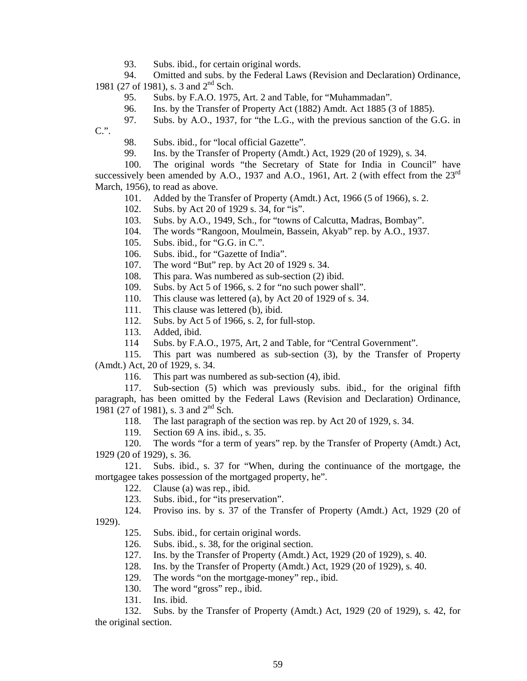93. Subs. ibid., for certain original words.

94. Omitted and subs. by the Federal Laws (Revision and Declaration) Ordinance, 1981 (27 of 1981), s. 3 and  $2^{nd}$  Sch.

95. Subs. by F.A.O. 1975, Art. 2 and Table, for "Muhammadan".

96. Ins. by the Transfer of Property Act (1882) Amdt. Act 1885 (3 of 1885).

97. Subs. by A.O., 1937, for "the L.G., with the previous sanction of the G.G. in

C.".

98. Subs. ibid., for "local official Gazette".

99. Ins. by the Transfer of Property (Amdt.) Act, 1929 (20 of 1929), s. 34.

100. The original words "the Secretary of State for India in Council" have successively been amended by A.O., 1937 and A.O., 1961, Art. 2 (with effect from the  $23<sup>rd</sup>$ March, 1956), to read as above.

101. Added by the Transfer of Property (Amdt.) Act, 1966 (5 of 1966), s. 2.

102. Subs. by Act 20 of 1929 s. 34, for "is".

103. Subs. by A.O., 1949, Sch., for "towns of Calcutta, Madras, Bombay".

104. The words "Rangoon, Moulmein, Bassein, Akyab" rep. by A.O., 1937.

105. Subs. ibid., for "G.G. in C.".

106. Subs. ibid., for "Gazette of India".

107. The word "But" rep. by Act 20 of 1929 s. 34.

108. This para. Was numbered as sub-section (2) ibid.

109. Subs. by Act 5 of 1966, s. 2 for "no such power shall".

110. This clause was lettered (a), by Act 20 of 1929 of s. 34.

111. This clause was lettered (b), ibid.

112. Subs. by Act 5 of 1966, s. 2, for full-stop.

113. Added, ibid.

114 Subs. by F.A.O., 1975, Art, 2 and Table, for "Central Government".

115. This part was numbered as sub-section (3), by the Transfer of Property (Amdt.) Act, 20 of 1929, s. 34.

116. This part was numbered as sub-section (4), ibid.

117. Sub-section (5) which was previously subs. ibid., for the original fifth paragraph, has been omitted by the Federal Laws (Revision and Declaration) Ordinance, 1981 (27 of 1981), s. 3 and  $2<sup>nd</sup>$  Sch.

118. The last paragraph of the section was rep. by Act 20 of 1929, s. 34.

119. Section 69 A ins. ibid., s. 35.

120. The words "for a term of years" rep. by the Transfer of Property (Amdt.) Act, 1929 (20 of 1929), s. 36.

121. Subs. ibid., s. 37 for "When, during the continuance of the mortgage, the mortgagee takes possession of the mortgaged property, he".

122. Clause (a) was rep., ibid.

123. Subs. ibid., for "its preservation".

124. Proviso ins. by s. 37 of the Transfer of Property (Amdt.) Act, 1929 (20 of 1929).

125. Subs. ibid., for certain original words.

126. Subs. ibid., s. 38, for the original section.

127. Ins. by the Transfer of Property (Amdt.) Act, 1929 (20 of 1929), s. 40.

128. Ins. by the Transfer of Property (Amdt.) Act, 1929 (20 of 1929), s. 40.

129. The words "on the mortgage-money" rep., ibid.

130. The word "gross" rep., ibid.

131. Ins. ibid.

132. Subs. by the Transfer of Property (Amdt.) Act, 1929 (20 of 1929), s. 42, for the original section.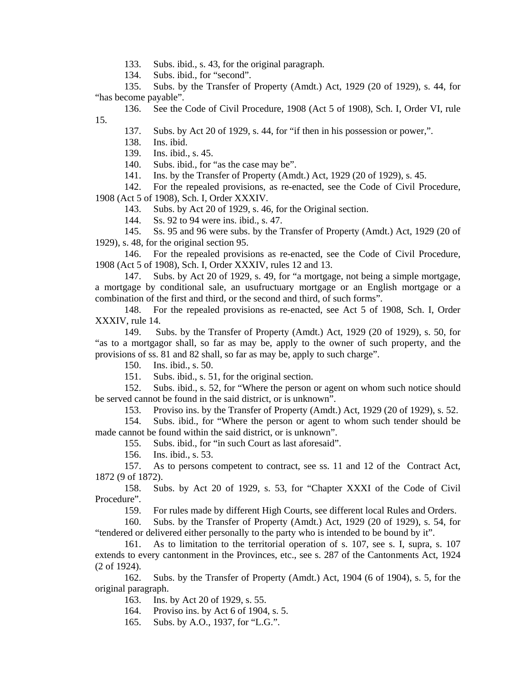133. Subs. ibid., s. 43, for the original paragraph.

134. Subs. ibid., for "second".

135. Subs. by the Transfer of Property (Amdt.) Act, 1929 (20 of 1929), s. 44, for "has become payable".

136. See the Code of Civil Procedure, 1908 (Act 5 of 1908), Sch. I, Order VI, rule 15.

137. Subs. by Act 20 of 1929, s. 44, for "if then in his possession or power,".

138. Ins. ibid.

139. Ins. ibid., s. 45.

140. Subs. ibid., for "as the case may be".

141. Ins. by the Transfer of Property (Amdt.) Act, 1929 (20 of 1929), s. 45.

142. For the repealed provisions, as re-enacted, see the Code of Civil Procedure, 1908 (Act 5 of 1908), Sch. I, Order XXXIV.

143. Subs. by Act 20 of 1929, s. 46, for the Original section.

144. Ss. 92 to 94 were ins. ibid., s. 47.

145. Ss. 95 and 96 were subs. by the Transfer of Property (Amdt.) Act, 1929 (20 of 1929), s. 48, for the original section 95.

146. For the repealed provisions as re-enacted, see the Code of Civil Procedure, 1908 (Act 5 of 1908), Sch. I, Order XXXIV, rules 12 and 13.

147. Subs. by Act 20 of 1929, s. 49, for "a mortgage, not being a simple mortgage, a mortgage by conditional sale, an usufructuary mortgage or an English mortgage or a combination of the first and third, or the second and third, of such forms".

148. For the repealed provisions as re-enacted, see Act 5 of 1908, Sch. I, Order XXXIV, rule 14.

149. Subs. by the Transfer of Property (Amdt.) Act, 1929 (20 of 1929), s. 50, for "as to a mortgagor shall, so far as may be, apply to the owner of such property, and the provisions of ss. 81 and 82 shall, so far as may be, apply to such charge".

150. Ins. ibid., s. 50.

151. Subs. ibid., s. 51, for the original section.

152. Subs. ibid., s. 52, for "Where the person or agent on whom such notice should be served cannot be found in the said district, or is unknown".

153. Proviso ins. by the Transfer of Property (Amdt.) Act, 1929 (20 of 1929), s. 52.

154. Subs. ibid., for "Where the person or agent to whom such tender should be made cannot be found within the said district, or is unknown".

155. Subs. ibid., for "in such Court as last aforesaid".

156. Ins. ibid., s. 53.

157. As to persons competent to contract, see ss. 11 and 12 of the Contract Act, 1872 (9 of 1872).

158. Subs. by Act 20 of 1929, s. 53, for "Chapter XXXI of the Code of Civil Procedure".

159. For rules made by different High Courts, see different local Rules and Orders.

160. Subs. by the Transfer of Property (Amdt.) Act, 1929 (20 of 1929), s. 54, for "tendered or delivered either personally to the party who is intended to be bound by it".

161. As to limitation to the territorial operation of s. 107, see s. I, supra, s. 107 extends to every cantonment in the Provinces, etc., see s. 287 of the Cantonments Act, 1924 (2 of 1924).

162. Subs. by the Transfer of Property (Amdt.) Act, 1904 (6 of 1904), s. 5, for the original paragraph.

163. Ins. by Act 20 of 1929, s. 55.

164. Proviso ins. by Act 6 of 1904, s. 5.

165. Subs. by A.O., 1937, for "L.G.".